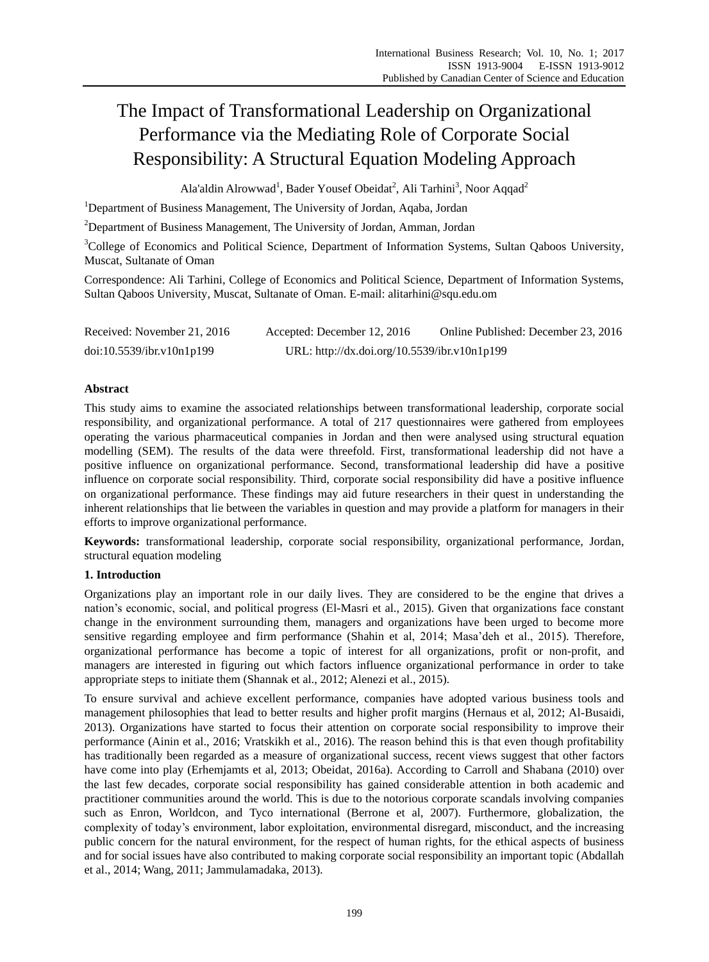# The Impact of Transformational Leadership on Organizational Performance via the Mediating Role of Corporate Social Responsibility: A Structural Equation Modeling Approach

Ala'aldin Alrowwad<sup>1</sup>, Bader Yousef Obeidat<sup>2</sup>, Ali Tarhini<sup>3</sup>, Noor Aqqad<sup>2</sup>

<sup>1</sup>Department of Business Management, The University of Jordan, Aqaba, Jordan

<sup>2</sup>Department of Business Management, The University of Jordan, Amman, Jordan

<sup>3</sup>College of Economics and Political Science, Department of Information Systems, Sultan Qaboos University, Muscat, Sultanate of Oman

Correspondence: Ali Tarhini, College of Economics and Political Science, Department of Information Systems, Sultan Qaboos University, Muscat, Sultanate of Oman. E-mail: alitarhini@squ.edu.om

| Received: November 21, 2016 | Accepted: December 12, 2016                  | Online Published: December 23, 2016 |
|-----------------------------|----------------------------------------------|-------------------------------------|
| doi:10.5539/ibr.v10n1p199   | URL: http://dx.doi.org/10.5539/ibr.v10n1p199 |                                     |

# **Abstract**

This study aims to examine the associated relationships between transformational leadership, corporate social responsibility, and organizational performance. A total of 217 questionnaires were gathered from employees operating the various pharmaceutical companies in Jordan and then were analysed using structural equation modelling (SEM). The results of the data were threefold. First, transformational leadership did not have a positive influence on organizational performance. Second, transformational leadership did have a positive influence on corporate social responsibility. Third, corporate social responsibility did have a positive influence on organizational performance. These findings may aid future researchers in their quest in understanding the inherent relationships that lie between the variables in question and may provide a platform for managers in their efforts to improve organizational performance.

**Keywords:** transformational leadership, corporate social responsibility, organizational performance, Jordan, structural equation modeling

# **1. Introduction**

Organizations play an important role in our daily lives. They are considered to be the engine that drives a nation"s economic, social, and political progress (El-Masri et al., 2015). Given that organizations face constant change in the environment surrounding them, managers and organizations have been urged to become more sensitive regarding employee and firm performance (Shahin et al, 2014; Masa"deh et al., 2015). Therefore, organizational performance has become a topic of interest for all organizations, profit or non-profit, and managers are interested in figuring out which factors influence organizational performance in order to take appropriate steps to initiate them (Shannak et al., 2012; Alenezi et al., 2015).

To ensure survival and achieve excellent performance, companies have adopted various business tools and management philosophies that lead to better results and higher profit margins (Hernaus et al, 2012; Al-Busaidi, 2013). Organizations have started to focus their attention on corporate social responsibility to improve their performance (Ainin et al., 2016; Vratskikh et al., 2016). The reason behind this is that even though profitability has traditionally been regarded as a measure of organizational success, recent views suggest that other factors have come into play (Erhemjamts et al, 2013; Obeidat, 2016a). According to Carroll and Shabana (2010) over the last few decades, corporate social responsibility has gained considerable attention in both academic and practitioner communities around the world. This is due to the notorious corporate scandals involving companies such as Enron, Worldcon, and Tyco international (Berrone et al, 2007). Furthermore, globalization, the complexity of today"s environment, labor exploitation, environmental disregard, misconduct, and the increasing public concern for the natural environment, for the respect of human rights, for the ethical aspects of business and for social issues have also contributed to making corporate social responsibility an important topic (Abdallah et al., 2014; Wang, 2011; Jammulamadaka, 2013).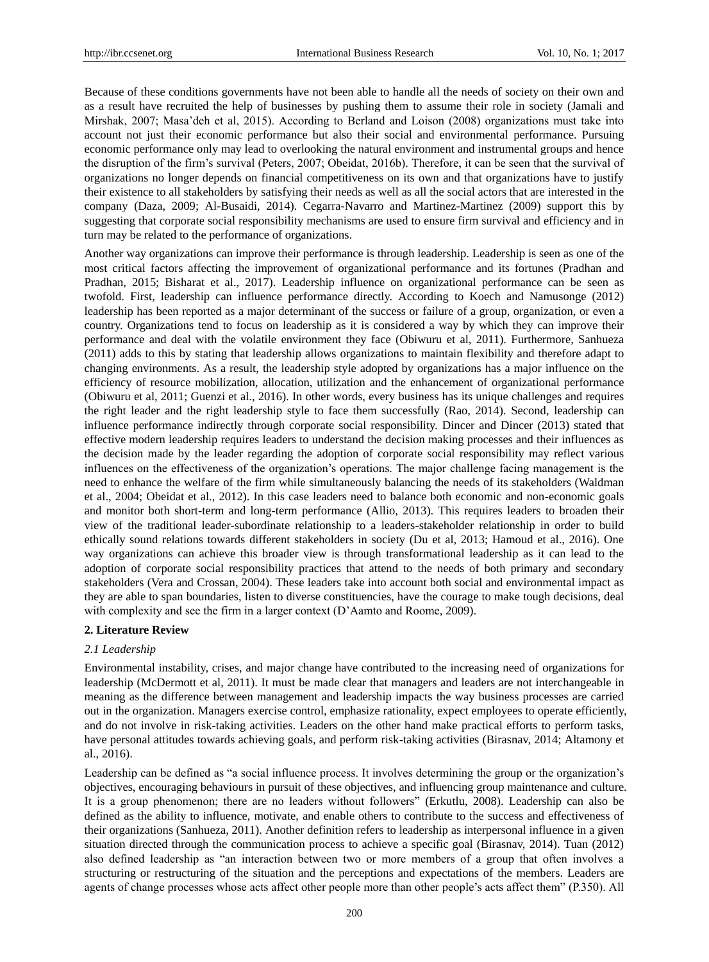Because of these conditions governments have not been able to handle all the needs of society on their own and as a result have recruited the help of businesses by pushing them to assume their role in society (Jamali and Mirshak, 2007; Masa"deh et al, 2015). According to Berland and Loison (2008) organizations must take into account not just their economic performance but also their social and environmental performance. Pursuing economic performance only may lead to overlooking the natural environment and instrumental groups and hence the disruption of the firm"s survival (Peters, 2007; Obeidat, 2016b). Therefore, it can be seen that the survival of organizations no longer depends on financial competitiveness on its own and that organizations have to justify their existence to all stakeholders by satisfying their needs as well as all the social actors that are interested in the company (Daza, 2009; Al-Busaidi, 2014). Cegarra-Navarro and Martinez-Martinez (2009) support this by suggesting that corporate social responsibility mechanisms are used to ensure firm survival and efficiency and in turn may be related to the performance of organizations.

Another way organizations can improve their performance is through leadership. Leadership is seen as one of the most critical factors affecting the improvement of organizational performance and its fortunes (Pradhan and Pradhan, 2015; Bisharat et al., 2017). Leadership influence on organizational performance can be seen as twofold. First, leadership can influence performance directly. According to Koech and Namusonge (2012) leadership has been reported as a major determinant of the success or failure of a group, organization, or even a country. Organizations tend to focus on leadership as it is considered a way by which they can improve their performance and deal with the volatile environment they face (Obiwuru et al, 2011). Furthermore, Sanhueza (2011) adds to this by stating that leadership allows organizations to maintain flexibility and therefore adapt to changing environments. As a result, the leadership style adopted by organizations has a major influence on the efficiency of resource mobilization, allocation, utilization and the enhancement of organizational performance (Obiwuru et al, 2011; Guenzi et al., 2016). In other words, every business has its unique challenges and requires the right leader and the right leadership style to face them successfully (Rao, 2014). Second, leadership can influence performance indirectly through corporate social responsibility. Dincer and Dincer (2013) stated that effective modern leadership requires leaders to understand the decision making processes and their influences as the decision made by the leader regarding the adoption of corporate social responsibility may reflect various influences on the effectiveness of the organization"s operations. The major challenge facing management is the need to enhance the welfare of the firm while simultaneously balancing the needs of its stakeholders (Waldman et al., 2004; Obeidat et al., 2012). In this case leaders need to balance both economic and non-economic goals and monitor both short-term and long-term performance (Allio, 2013). This requires leaders to broaden their view of the traditional leader-subordinate relationship to a leaders-stakeholder relationship in order to build ethically sound relations towards different stakeholders in society (Du et al, 2013; Hamoud et al., 2016). One way organizations can achieve this broader view is through transformational leadership as it can lead to the adoption of corporate social responsibility practices that attend to the needs of both primary and secondary stakeholders (Vera and Crossan, 2004). These leaders take into account both social and environmental impact as they are able to span boundaries, listen to diverse constituencies, have the courage to make tough decisions, deal with complexity and see the firm in a larger context (D'Aamto and Roome, 2009).

#### **2. Literature Review**

#### *2.1 Leadership*

Environmental instability, crises, and major change have contributed to the increasing need of organizations for leadership (McDermott et al, 2011). It must be made clear that managers and leaders are not interchangeable in meaning as the difference between management and leadership impacts the way business processes are carried out in the organization. Managers exercise control, emphasize rationality, expect employees to operate efficiently, and do not involve in risk-taking activities. Leaders on the other hand make practical efforts to perform tasks, have personal attitudes towards achieving goals, and perform risk-taking activities (Birasnav, 2014; Altamony et al., 2016).

Leadership can be defined as "a social influence process. It involves determining the group or the organization"s objectives, encouraging behaviours in pursuit of these objectives, and influencing group maintenance and culture. It is a group phenomenon; there are no leaders without followers" (Erkutlu, 2008). Leadership can also be defined as the ability to influence, motivate, and enable others to contribute to the success and effectiveness of their organizations (Sanhueza, 2011). Another definition refers to leadership as interpersonal influence in a given situation directed through the communication process to achieve a specific goal (Birasnav, 2014). Tuan (2012) also defined leadership as "an interaction between two or more members of a group that often involves a structuring or restructuring of the situation and the perceptions and expectations of the members. Leaders are agents of change processes whose acts affect other people more than other people"s acts affect them" (P.350). All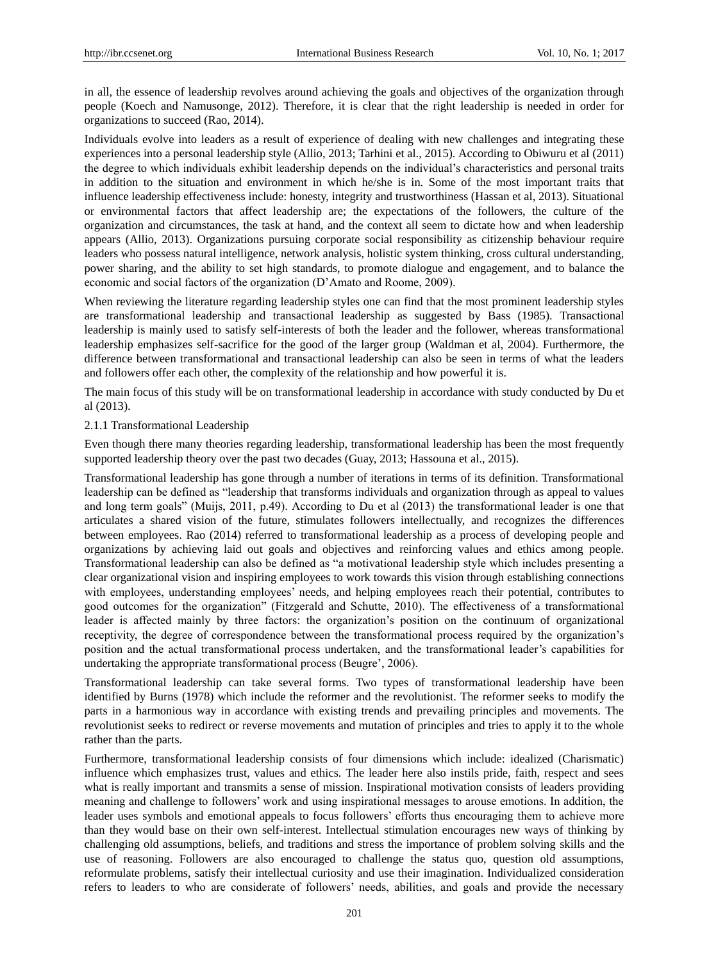in all, the essence of leadership revolves around achieving the goals and objectives of the organization through people (Koech and Namusonge, 2012). Therefore, it is clear that the right leadership is needed in order for organizations to succeed (Rao, 2014).

Individuals evolve into leaders as a result of experience of dealing with new challenges and integrating these experiences into a personal leadership style (Allio, 2013; Tarhini et al., 2015). According to Obiwuru et al (2011) the degree to which individuals exhibit leadership depends on the individual"s characteristics and personal traits in addition to the situation and environment in which he/she is in. Some of the most important traits that influence leadership effectiveness include: honesty, integrity and trustworthiness (Hassan et al, 2013). Situational or environmental factors that affect leadership are; the expectations of the followers, the culture of the organization and circumstances, the task at hand, and the context all seem to dictate how and when leadership appears (Allio, 2013). Organizations pursuing corporate social responsibility as citizenship behaviour require leaders who possess natural intelligence, network analysis, holistic system thinking, cross cultural understanding, power sharing, and the ability to set high standards, to promote dialogue and engagement, and to balance the economic and social factors of the organization (D"Amato and Roome, 2009).

When reviewing the literature regarding leadership styles one can find that the most prominent leadership styles are transformational leadership and transactional leadership as suggested by Bass (1985). Transactional leadership is mainly used to satisfy self-interests of both the leader and the follower, whereas transformational leadership emphasizes self-sacrifice for the good of the larger group (Waldman et al, 2004). Furthermore, the difference between transformational and transactional leadership can also be seen in terms of what the leaders and followers offer each other, the complexity of the relationship and how powerful it is.

The main focus of this study will be on transformational leadership in accordance with study conducted by Du et al (2013).

#### 2.1.1 Transformational Leadership

Even though there many theories regarding leadership, transformational leadership has been the most frequently supported leadership theory over the past two decades (Guay, 2013; Hassouna et al., 2015).

Transformational leadership has gone through a number of iterations in terms of its definition. Transformational leadership can be defined as "leadership that transforms individuals and organization through as appeal to values and long term goals" (Muijs, 2011, p.49). According to Du et al (2013) the transformational leader is one that articulates a shared vision of the future, stimulates followers intellectually, and recognizes the differences between employees. Rao (2014) referred to transformational leadership as a process of developing people and organizations by achieving laid out goals and objectives and reinforcing values and ethics among people. Transformational leadership can also be defined as "a motivational leadership style which includes presenting a clear organizational vision and inspiring employees to work towards this vision through establishing connections with employees, understanding employees' needs, and helping employees reach their potential, contributes to good outcomes for the organization" (Fitzgerald and Schutte, 2010). The effectiveness of a transformational leader is affected mainly by three factors: the organization's position on the continuum of organizational receptivity, the degree of correspondence between the transformational process required by the organization"s position and the actual transformational process undertaken, and the transformational leader"s capabilities for undertaking the appropriate transformational process (Beugre", 2006).

Transformational leadership can take several forms. Two types of transformational leadership have been identified by Burns (1978) which include the reformer and the revolutionist. The reformer seeks to modify the parts in a harmonious way in accordance with existing trends and prevailing principles and movements. The revolutionist seeks to redirect or reverse movements and mutation of principles and tries to apply it to the whole rather than the parts.

Furthermore, transformational leadership consists of four dimensions which include: idealized (Charismatic) influence which emphasizes trust, values and ethics. The leader here also instils pride, faith, respect and sees what is really important and transmits a sense of mission. Inspirational motivation consists of leaders providing meaning and challenge to followers" work and using inspirational messages to arouse emotions. In addition, the leader uses symbols and emotional appeals to focus followers' efforts thus encouraging them to achieve more than they would base on their own self-interest. Intellectual stimulation encourages new ways of thinking by challenging old assumptions, beliefs, and traditions and stress the importance of problem solving skills and the use of reasoning. Followers are also encouraged to challenge the status quo, question old assumptions, reformulate problems, satisfy their intellectual curiosity and use their imagination. Individualized consideration refers to leaders to who are considerate of followers" needs, abilities, and goals and provide the necessary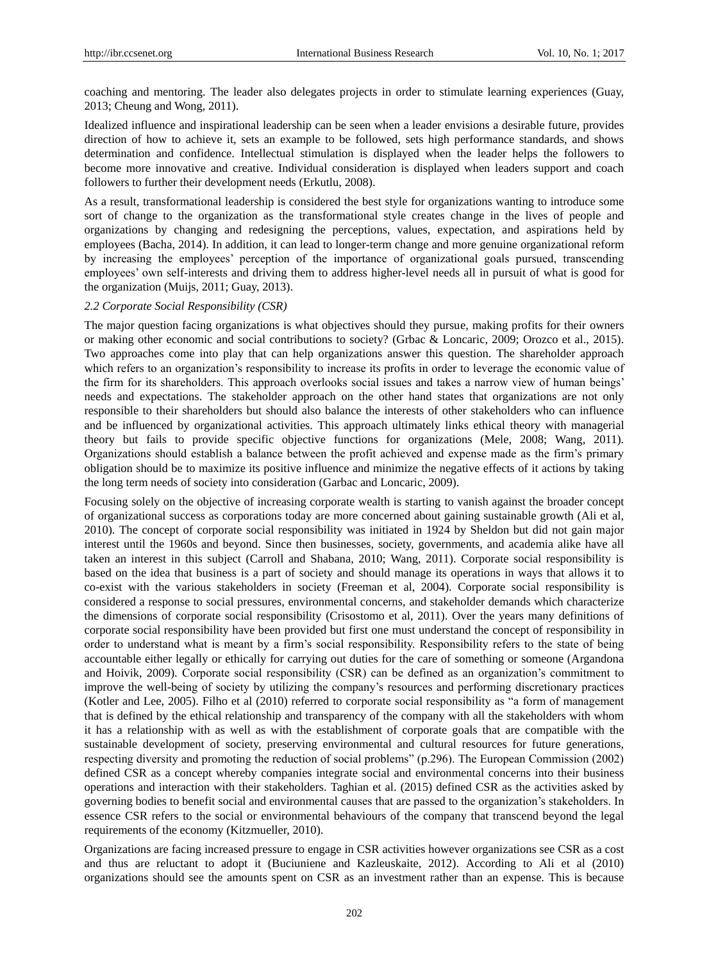coaching and mentoring. The leader also delegates projects in order to stimulate learning experiences (Guay, 2013; Cheung and Wong, 2011).

Idealized influence and inspirational leadership can be seen when a leader envisions a desirable future, provides direction of how to achieve it, sets an example to be followed, sets high performance standards, and shows determination and confidence. Intellectual stimulation is displayed when the leader helps the followers to become more innovative and creative. Individual consideration is displayed when leaders support and coach followers to further their development needs (Erkutlu, 2008).

As a result, transformational leadership is considered the best style for organizations wanting to introduce some sort of change to the organization as the transformational style creates change in the lives of people and organizations by changing and redesigning the perceptions, values, expectation, and aspirations held by employees (Bacha, 2014). In addition, it can lead to longer-term change and more genuine organizational reform by increasing the employees" perception of the importance of organizational goals pursued, transcending employees" own self-interests and driving them to address higher-level needs all in pursuit of what is good for the organization (Muijs, 2011; Guay, 2013).

#### *2.2 Corporate Social Responsibility (CSR)*

The major question facing organizations is what objectives should they pursue, making profits for their owners or making other economic and social contributions to society? (Grbac & Loncaric, 2009; Orozco et al., 2015). Two approaches come into play that can help organizations answer this question. The shareholder approach which refers to an organization's responsibility to increase its profits in order to leverage the economic value of the firm for its shareholders. This approach overlooks social issues and takes a narrow view of human beings" needs and expectations. The stakeholder approach on the other hand states that organizations are not only responsible to their shareholders but should also balance the interests of other stakeholders who can influence and be influenced by organizational activities. This approach ultimately links ethical theory with managerial theory but fails to provide specific objective functions for organizations (Mele, 2008; Wang, 2011). Organizations should establish a balance between the profit achieved and expense made as the firm"s primary obligation should be to maximize its positive influence and minimize the negative effects of it actions by taking the long term needs of society into consideration (Garbac and Loncaric, 2009).

Focusing solely on the objective of increasing corporate wealth is starting to vanish against the broader concept of organizational success as corporations today are more concerned about gaining sustainable growth (Ali et al, 2010). The concept of corporate social responsibility was initiated in 1924 by Sheldon but did not gain major interest until the 1960s and beyond. Since then businesses, society, governments, and academia alike have all taken an interest in this subject (Carroll and Shabana, 2010; Wang, 2011). Corporate social responsibility is based on the idea that business is a part of society and should manage its operations in ways that allows it to co-exist with the various stakeholders in society (Freeman et al, 2004). Corporate social responsibility is considered a response to social pressures, environmental concerns, and stakeholder demands which characterize the dimensions of corporate social responsibility (Crisostomo et al, 2011). Over the years many definitions of corporate social responsibility have been provided but first one must understand the concept of responsibility in order to understand what is meant by a firm"s social responsibility. Responsibility refers to the state of being accountable either legally or ethically for carrying out duties for the care of something or someone (Argandona and Hoivik, 2009). Corporate social responsibility (CSR) can be defined as an organization"s commitment to improve the well-being of society by utilizing the company"s resources and performing discretionary practices (Kotler and Lee, 2005). Filho et al (2010) referred to corporate social responsibility as "a form of management that is defined by the ethical relationship and transparency of the company with all the stakeholders with whom it has a relationship with as well as with the establishment of corporate goals that are compatible with the sustainable development of society, preserving environmental and cultural resources for future generations, respecting diversity and promoting the reduction of social problems" (p.296). The European Commission (2002) defined CSR as a concept whereby companies integrate social and environmental concerns into their business operations and interaction with their stakeholders. Taghian et al. (2015) defined CSR as the activities asked by governing bodies to benefit social and environmental causes that are passed to the organization"s stakeholders. In essence CSR refers to the social or environmental behaviours of the company that transcend beyond the legal requirements of the economy (Kitzmueller, 2010).

Organizations are facing increased pressure to engage in CSR activities however organizations see CSR as a cost and thus are reluctant to adopt it (Buciuniene and Kazleuskaite, 2012). According to Ali et al (2010) organizations should see the amounts spent on CSR as an investment rather than an expense. This is because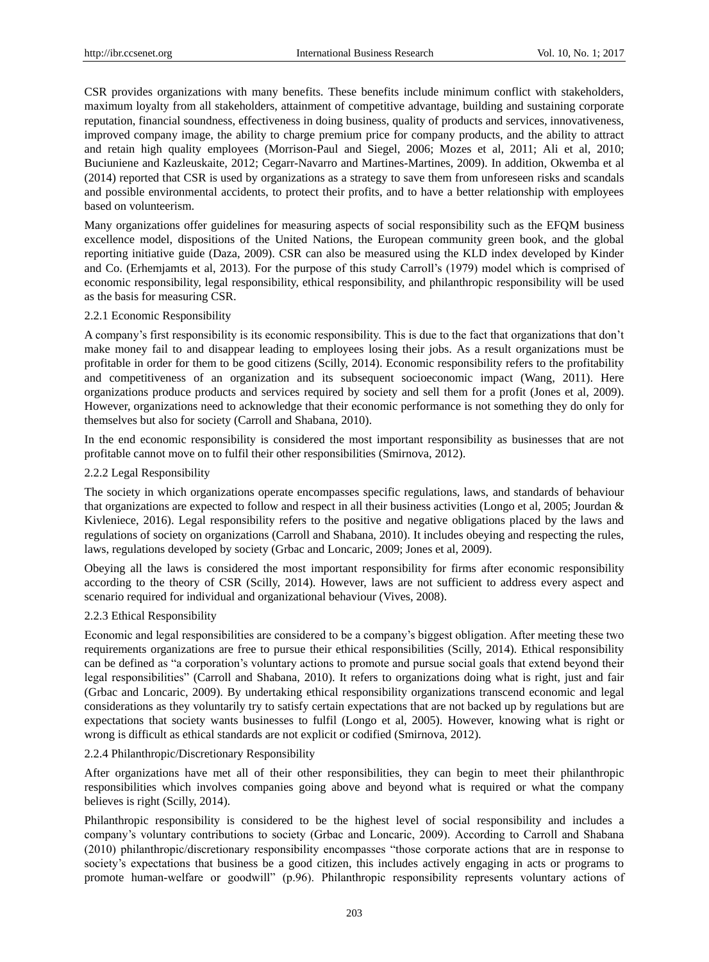CSR provides organizations with many benefits. These benefits include minimum conflict with stakeholders, maximum loyalty from all stakeholders, attainment of competitive advantage, building and sustaining corporate reputation, financial soundness, effectiveness in doing business, quality of products and services, innovativeness, improved company image, the ability to charge premium price for company products, and the ability to attract and retain high quality employees (Morrison-Paul and Siegel, 2006; Mozes et al, 2011; Ali et al, 2010; Buciuniene and Kazleuskaite, 2012; Cegarr-Navarro and Martines-Martines, 2009). In addition, Okwemba et al (2014) reported that CSR is used by organizations as a strategy to save them from unforeseen risks and scandals and possible environmental accidents, to protect their profits, and to have a better relationship with employees based on volunteerism.

Many organizations offer guidelines for measuring aspects of social responsibility such as the EFQM business excellence model, dispositions of the United Nations, the European community green book, and the global reporting initiative guide (Daza, 2009). CSR can also be measured using the KLD index developed by Kinder and Co. (Erhemjamts et al, 2013). For the purpose of this study Carroll"s (1979) model which is comprised of economic responsibility, legal responsibility, ethical responsibility, and philanthropic responsibility will be used as the basis for measuring CSR.

#### 2.2.1 Economic Responsibility

A company"s first responsibility is its economic responsibility. This is due to the fact that organizations that don"t make money fail to and disappear leading to employees losing their jobs. As a result organizations must be profitable in order for them to be good citizens (Scilly, 2014). Economic responsibility refers to the profitability and competitiveness of an organization and its subsequent socioeconomic impact (Wang, 2011). Here organizations produce products and services required by society and sell them for a profit (Jones et al, 2009). However, organizations need to acknowledge that their economic performance is not something they do only for themselves but also for society (Carroll and Shabana, 2010).

In the end economic responsibility is considered the most important responsibility as businesses that are not profitable cannot move on to fulfil their other responsibilities (Smirnova, 2012).

#### 2.2.2 Legal Responsibility

The society in which organizations operate encompasses specific regulations, laws, and standards of behaviour that organizations are expected to follow and respect in all their business activities (Longo et al, 2005; Jourdan & Kivleniece, 2016). Legal responsibility refers to the positive and negative obligations placed by the laws and regulations of society on organizations (Carroll and Shabana, 2010). It includes obeying and respecting the rules, laws, regulations developed by society (Grbac and Loncaric, 2009; Jones et al, 2009).

Obeying all the laws is considered the most important responsibility for firms after economic responsibility according to the theory of CSR (Scilly, 2014). However, laws are not sufficient to address every aspect and scenario required for individual and organizational behaviour (Vives, 2008).

#### 2.2.3 Ethical Responsibility

Economic and legal responsibilities are considered to be a company"s biggest obligation. After meeting these two requirements organizations are free to pursue their ethical responsibilities (Scilly, 2014). Ethical responsibility can be defined as "a corporation"s voluntary actions to promote and pursue social goals that extend beyond their legal responsibilities" (Carroll and Shabana, 2010). It refers to organizations doing what is right, just and fair (Grbac and Loncaric, 2009). By undertaking ethical responsibility organizations transcend economic and legal considerations as they voluntarily try to satisfy certain expectations that are not backed up by regulations but are expectations that society wants businesses to fulfil (Longo et al, 2005). However, knowing what is right or wrong is difficult as ethical standards are not explicit or codified (Smirnova, 2012).

#### 2.2.4 Philanthropic/Discretionary Responsibility

After organizations have met all of their other responsibilities, they can begin to meet their philanthropic responsibilities which involves companies going above and beyond what is required or what the company believes is right (Scilly, 2014).

Philanthropic responsibility is considered to be the highest level of social responsibility and includes a company"s voluntary contributions to society (Grbac and Loncaric, 2009). According to Carroll and Shabana (2010) philanthropic/discretionary responsibility encompasses "those corporate actions that are in response to society's expectations that business be a good citizen, this includes actively engaging in acts or programs to promote human-welfare or goodwill" (p.96). Philanthropic responsibility represents voluntary actions of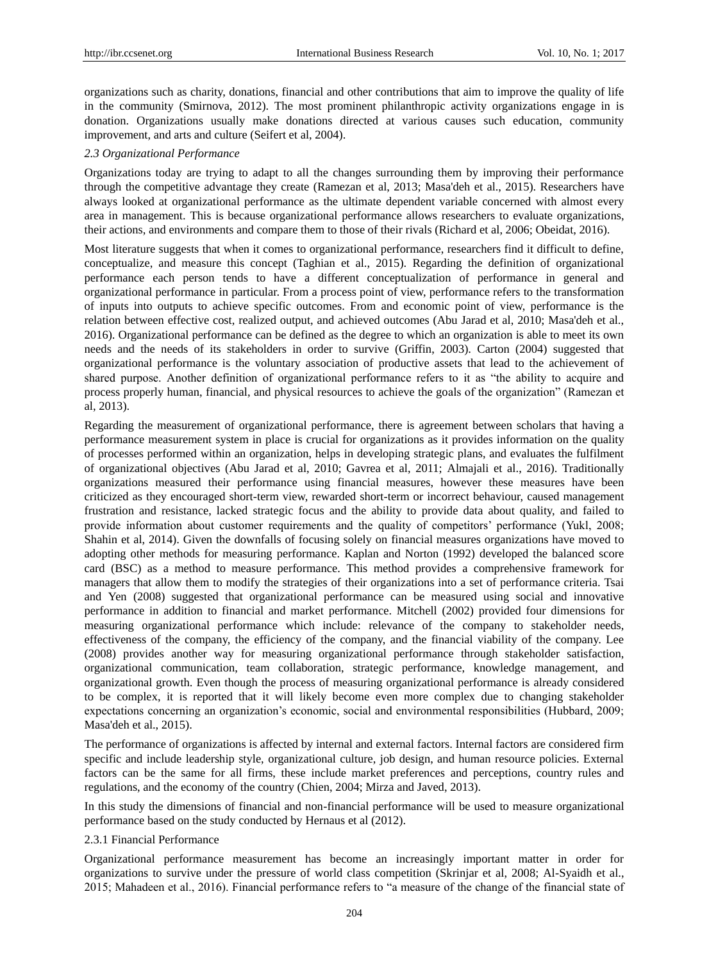organizations such as charity, donations, financial and other contributions that aim to improve the quality of life in the community (Smirnova, 2012). The most prominent philanthropic activity organizations engage in is donation. Organizations usually make donations directed at various causes such education, community improvement, and arts and culture (Seifert et al, 2004).

#### *2.3 Organizational Performance*

Organizations today are trying to adapt to all the changes surrounding them by improving their performance through the competitive advantage they create (Ramezan et al, 2013; Masa'deh et al., 2015). Researchers have always looked at organizational performance as the ultimate dependent variable concerned with almost every area in management. This is because organizational performance allows researchers to evaluate organizations, their actions, and environments and compare them to those of their rivals (Richard et al, 2006; Obeidat, 2016).

Most literature suggests that when it comes to organizational performance, researchers find it difficult to define, conceptualize, and measure this concept (Taghian et al., 2015). Regarding the definition of organizational performance each person tends to have a different conceptualization of performance in general and organizational performance in particular. From a process point of view, performance refers to the transformation of inputs into outputs to achieve specific outcomes. From and economic point of view, performance is the relation between effective cost, realized output, and achieved outcomes (Abu Jarad et al, 2010; Masa'deh et al., 2016). Organizational performance can be defined as the degree to which an organization is able to meet its own needs and the needs of its stakeholders in order to survive (Griffin, 2003). Carton (2004) suggested that organizational performance is the voluntary association of productive assets that lead to the achievement of shared purpose. Another definition of organizational performance refers to it as "the ability to acquire and process properly human, financial, and physical resources to achieve the goals of the organization" (Ramezan et al, 2013).

Regarding the measurement of organizational performance, there is agreement between scholars that having a performance measurement system in place is crucial for organizations as it provides information on the quality of processes performed within an organization, helps in developing strategic plans, and evaluates the fulfilment of organizational objectives (Abu Jarad et al, 2010; Gavrea et al, 2011; Almajali et al., 2016). Traditionally organizations measured their performance using financial measures, however these measures have been criticized as they encouraged short-term view, rewarded short-term or incorrect behaviour, caused management frustration and resistance, lacked strategic focus and the ability to provide data about quality, and failed to provide information about customer requirements and the quality of competitors" performance (Yukl, 2008; Shahin et al, 2014). Given the downfalls of focusing solely on financial measures organizations have moved to adopting other methods for measuring performance. Kaplan and Norton (1992) developed the balanced score card (BSC) as a method to measure performance. This method provides a comprehensive framework for managers that allow them to modify the strategies of their organizations into a set of performance criteria. Tsai and Yen (2008) suggested that organizational performance can be measured using social and innovative performance in addition to financial and market performance. Mitchell (2002) provided four dimensions for measuring organizational performance which include: relevance of the company to stakeholder needs, effectiveness of the company, the efficiency of the company, and the financial viability of the company. Lee (2008) provides another way for measuring organizational performance through stakeholder satisfaction, organizational communication, team collaboration, strategic performance, knowledge management, and organizational growth. Even though the process of measuring organizational performance is already considered to be complex, it is reported that it will likely become even more complex due to changing stakeholder expectations concerning an organization"s economic, social and environmental responsibilities (Hubbard, 2009; Masa'deh et al., 2015).

The performance of organizations is affected by internal and external factors. Internal factors are considered firm specific and include leadership style, organizational culture, job design, and human resource policies. External factors can be the same for all firms, these include market preferences and perceptions, country rules and regulations, and the economy of the country (Chien, 2004; Mirza and Javed, 2013).

In this study the dimensions of financial and non-financial performance will be used to measure organizational performance based on the study conducted by Hernaus et al (2012).

#### 2.3.1 Financial Performance

Organizational performance measurement has become an increasingly important matter in order for organizations to survive under the pressure of world class competition (Skrinjar et al, 2008; Al-Syaidh et al., 2015; Mahadeen et al., 2016). Financial performance refers to "a measure of the change of the financial state of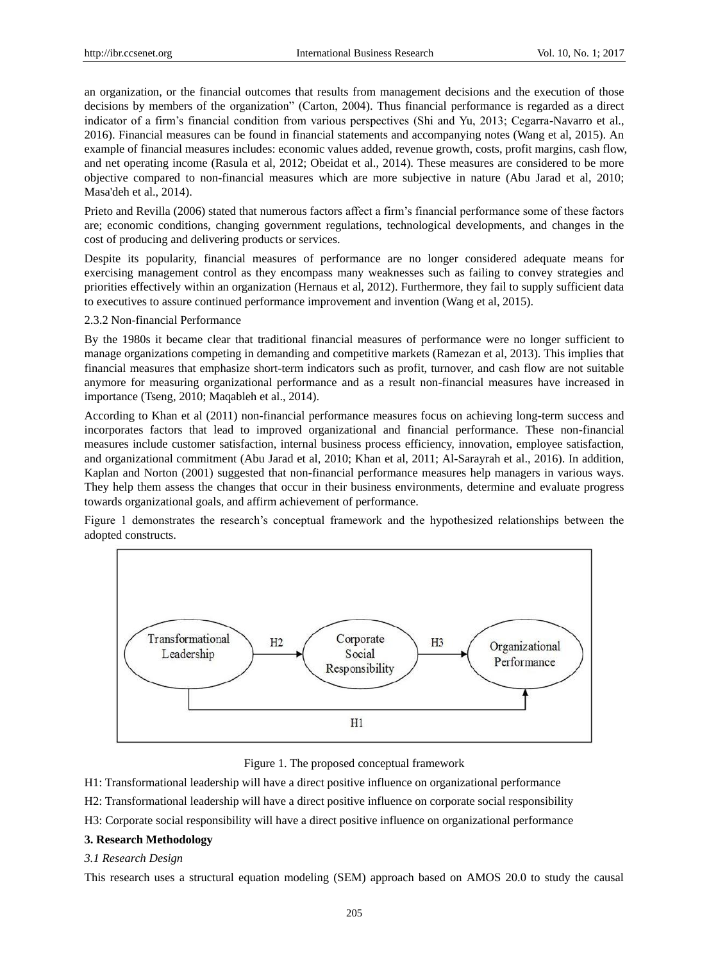an organization, or the financial outcomes that results from management decisions and the execution of those decisions by members of the organization" (Carton, 2004). Thus financial performance is regarded as a direct indicator of a firm"s financial condition from various perspectives (Shi and Yu, 2013; Cegarra-Navarro et al., 2016). Financial measures can be found in financial statements and accompanying notes (Wang et al, 2015). An example of financial measures includes: economic values added, revenue growth, costs, profit margins, cash flow, and net operating income (Rasula et al, 2012; Obeidat et al., 2014). These measures are considered to be more objective compared to non-financial measures which are more subjective in nature (Abu Jarad et al, 2010; Masa'deh et al., 2014).

Prieto and Revilla (2006) stated that numerous factors affect a firm"s financial performance some of these factors are; economic conditions, changing government regulations, technological developments, and changes in the cost of producing and delivering products or services.

Despite its popularity, financial measures of performance are no longer considered adequate means for exercising management control as they encompass many weaknesses such as failing to convey strategies and priorities effectively within an organization (Hernaus et al, 2012). Furthermore, they fail to supply sufficient data to executives to assure continued performance improvement and invention (Wang et al, 2015).

## 2.3.2 Non-financial Performance

By the 1980s it became clear that traditional financial measures of performance were no longer sufficient to manage organizations competing in demanding and competitive markets (Ramezan et al, 2013). This implies that financial measures that emphasize short-term indicators such as profit, turnover, and cash flow are not suitable anymore for measuring organizational performance and as a result non-financial measures have increased in importance (Tseng, 2010; Maqableh et al., 2014).

According to Khan et al (2011) non-financial performance measures focus on achieving long-term success and incorporates factors that lead to improved organizational and financial performance. These non-financial measures include customer satisfaction, internal business process efficiency, innovation, employee satisfaction, and organizational commitment (Abu Jarad et al, 2010; Khan et al, 2011; Al-Sarayrah et al., 2016). In addition, Kaplan and Norton (2001) suggested that non-financial performance measures help managers in various ways. They help them assess the changes that occur in their business environments, determine and evaluate progress towards organizational goals, and affirm achievement of performance.

Figure 1 demonstrates the research"s conceptual framework and the hypothesized relationships between the adopted constructs.



#### Figure 1. The proposed conceptual framework

H1: Transformational leadership will have a direct positive influence on organizational performance

H2: Transformational leadership will have a direct positive influence on corporate social responsibility

H3: Corporate social responsibility will have a direct positive influence on organizational performance

#### **3. Research Methodology**

#### *3.1 Research Design*

This research uses a structural equation modeling (SEM) approach based on AMOS 20.0 to study the causal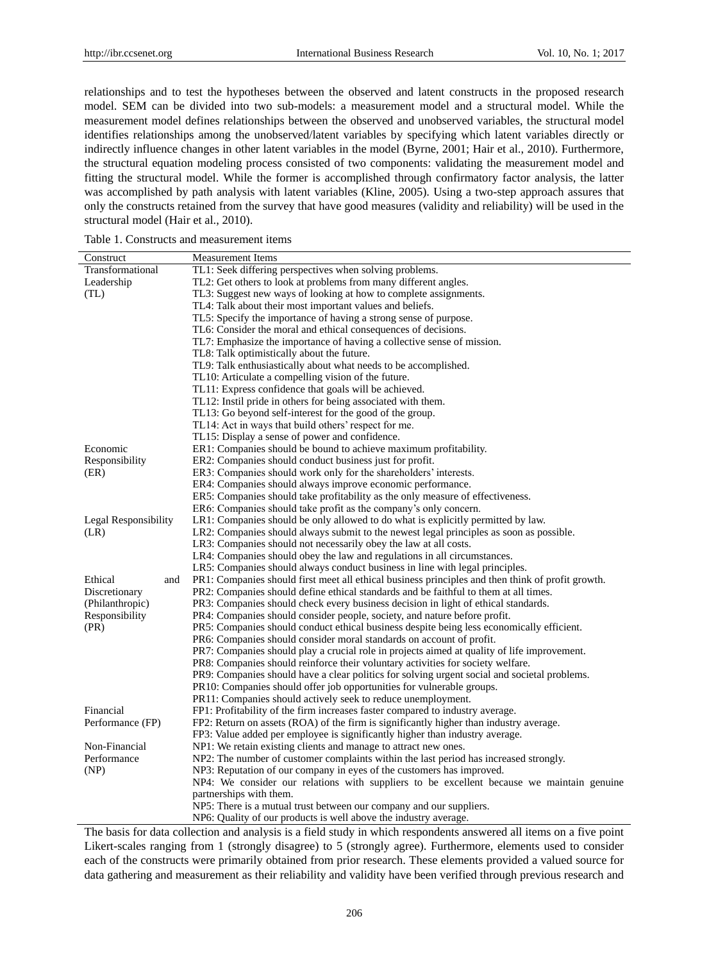relationships and to test the hypotheses between the observed and latent constructs in the proposed research model. SEM can be divided into two sub-models: a measurement model and a structural model. While the measurement model defines relationships between the observed and unobserved variables, the structural model identifies relationships among the unobserved/latent variables by specifying which latent variables directly or indirectly influence changes in other latent variables in the model (Byrne, 2001; Hair et al., 2010). Furthermore, the structural equation modeling process consisted of two components: validating the measurement model and fitting the structural model. While the former is accomplished through confirmatory factor analysis, the latter was accomplished by path analysis with latent variables (Kline, 2005). Using a two-step approach assures that only the constructs retained from the survey that have good measures (validity and reliability) will be used in the structural model (Hair et al., 2010).

| Table 1. Constructs and measurement items |
|-------------------------------------------|
|-------------------------------------------|

| Construct            | <b>Measurement</b> Items                                                                          |
|----------------------|---------------------------------------------------------------------------------------------------|
| Transformational     | TL1: Seek differing perspectives when solving problems.                                           |
| Leadership           | TL2: Get others to look at problems from many different angles.                                   |
| (TL)                 | TL3: Suggest new ways of looking at how to complete assignments.                                  |
|                      | TL4: Talk about their most important values and beliefs.                                          |
|                      | TL5: Specify the importance of having a strong sense of purpose.                                  |
|                      | TL6: Consider the moral and ethical consequences of decisions.                                    |
|                      | TL7: Emphasize the importance of having a collective sense of mission.                            |
|                      | TL8: Talk optimistically about the future.                                                        |
|                      | TL9: Talk enthusiastically about what needs to be accomplished.                                   |
|                      | TL10: Articulate a compelling vision of the future.                                               |
|                      | TL11: Express confidence that goals will be achieved.                                             |
|                      | TL12: Instil pride in others for being associated with them.                                      |
|                      | TL13: Go beyond self-interest for the good of the group.                                          |
|                      | TL14: Act in ways that build others' respect for me.                                              |
|                      | TL15: Display a sense of power and confidence.                                                    |
| Economic             | ER1: Companies should be bound to achieve maximum profitability.                                  |
| Responsibility       | ER2: Companies should conduct business just for profit.                                           |
| (ER)                 | ER3: Companies should work only for the shareholders' interests.                                  |
|                      | ER4: Companies should always improve economic performance.                                        |
|                      | ER5: Companies should take profitability as the only measure of effectiveness.                    |
|                      | ER6: Companies should take profit as the company's only concern.                                  |
| Legal Responsibility | LR1: Companies should be only allowed to do what is explicitly permitted by law.                  |
| (LR)                 | LR2: Companies should always submit to the newest legal principles as soon as possible.           |
|                      | LR3: Companies should not necessarily obey the law at all costs.                                  |
|                      | LR4: Companies should obey the law and regulations in all circumstances.                          |
|                      | LR5: Companies should always conduct business in line with legal principles.                      |
| Ethical<br>and       | PR1: Companies should first meet all ethical business principles and then think of profit growth. |
| Discretionary        | PR2: Companies should define ethical standards and be faithful to them at all times.              |
| (Philanthropic)      | PR3: Companies should check every business decision in light of ethical standards.                |
| Responsibility       | PR4: Companies should consider people, society, and nature before profit.                         |
| (PR)                 | PR5: Companies should conduct ethical business despite being less economically efficient.         |
|                      | PR6: Companies should consider moral standards on account of profit.                              |
|                      | PR7: Companies should play a crucial role in projects aimed at quality of life improvement.       |
|                      | PR8: Companies should reinforce their voluntary activities for society welfare.                   |
|                      | PR9: Companies should have a clear politics for solving urgent social and societal problems.      |
|                      | PR10: Companies should offer job opportunities for vulnerable groups.                             |
|                      | PR11: Companies should actively seek to reduce unemployment.                                      |
| Financial            | FP1: Profitability of the firm increases faster compared to industry average.                     |
| Performance (FP)     | FP2: Return on assets (ROA) of the firm is significantly higher than industry average.            |
|                      | FP3: Value added per employee is significantly higher than industry average.                      |
| Non-Financial        | NP1: We retain existing clients and manage to attract new ones.                                   |
| Performance          | NP2: The number of customer complaints within the last period has increased strongly.             |
| (NP)                 | NP3: Reputation of our company in eyes of the customers has improved.                             |
|                      | NP4: We consider our relations with suppliers to be excellent because we maintain genuine         |
|                      | partnerships with them.                                                                           |
|                      | NP5: There is a mutual trust between our company and our suppliers.                               |
|                      | NP6: Quality of our products is well above the industry average.                                  |

The basis for data collection and analysis is a field study in which respondents answered all items on a five point Likert-scales ranging from 1 (strongly disagree) to 5 (strongly agree). Furthermore, elements used to consider each of the constructs were primarily obtained from prior research. These elements provided a valued source for data gathering and measurement as their reliability and validity have been verified through previous research and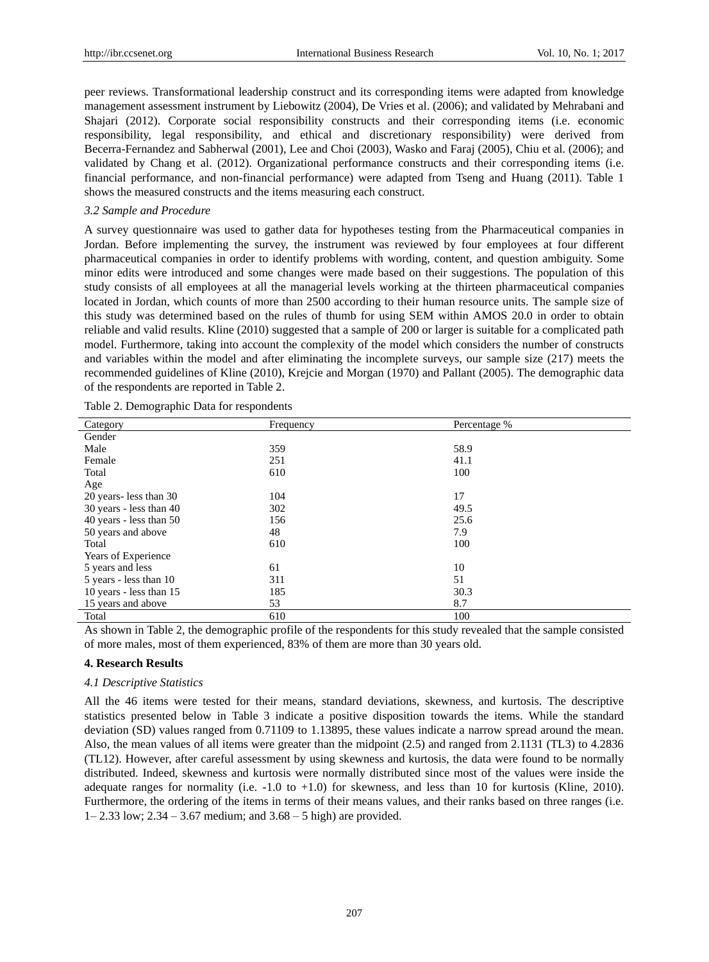peer reviews. Transformational leadership construct and its corresponding items were adapted from knowledge management assessment instrument by Liebowitz (2004), De Vries et al. (2006); and validated by Mehrabani and Shajari (2012). Corporate social responsibility constructs and their corresponding items (i.e. economic responsibility, legal responsibility, and ethical and discretionary responsibility) were derived from Becerra-Fernandez and Sabherwal (2001), Lee and Choi (2003), Wasko and Faraj (2005), Chiu et al. (2006); and validated by Chang et al. (2012). Organizational performance constructs and their corresponding items (i.e. financial performance, and non-financial performance) were adapted from Tseng and Huang (2011). Table 1 shows the measured constructs and the items measuring each construct.

#### *3.2 Sample and Procedure*

A survey questionnaire was used to gather data for hypotheses testing from the Pharmaceutical companies in Jordan. Before implementing the survey, the instrument was reviewed by four employees at four different pharmaceutical companies in order to identify problems with wording, content, and question ambiguity. Some minor edits were introduced and some changes were made based on their suggestions. The population of this study consists of all employees at all the managerial levels working at the thirteen pharmaceutical companies located in Jordan, which counts of more than 2500 according to their human resource units. The sample size of this study was determined based on the rules of thumb for using SEM within AMOS 20.0 in order to obtain reliable and valid results. Kline (2010) suggested that a sample of 200 or larger is suitable for a complicated path model. Furthermore, taking into account the complexity of the model which considers the number of constructs and variables within the model and after eliminating the incomplete surveys, our sample size (217) meets the recommended guidelines of Kline (2010), Krejcie and Morgan (1970) and Pallant (2005). The demographic data of the respondents are reported in Table 2.

| Category                | Frequency | Percentage % |
|-------------------------|-----------|--------------|
| Gender                  |           |              |
| Male                    | 359       | 58.9         |
| Female                  | 251       | 41.1         |
| Total                   | 610       | 100          |
| Age                     |           |              |
| 20 years- less than 30  | 104       | 17           |
| 30 years - less than 40 | 302       | 49.5         |
| 40 years - less than 50 | 156       | 25.6         |
| 50 years and above      | 48        | 7.9          |
| Total                   | 610       | 100          |
| Years of Experience     |           |              |
| 5 years and less        | 61        | 10           |
| 5 years - less than 10  | 311       | 51           |
| 10 years - less than 15 | 185       | 30.3         |
| 15 years and above      | 53        | 8.7          |
| Total                   | 610       | 100          |

Table 2. Demographic Data for respondents

As shown in Table 2, the demographic profile of the respondents for this study revealed that the sample consisted of more males, most of them experienced, 83% of them are more than 30 years old.

#### **4. Research Results**

#### *4.1 Descriptive Statistics*

All the 46 items were tested for their means, standard deviations, skewness, and kurtosis. The descriptive statistics presented below in Table 3 indicate a positive disposition towards the items. While the standard deviation (SD) values ranged from 0.71109 to 1.13895, these values indicate a narrow spread around the mean. Also, the mean values of all items were greater than the midpoint (2.5) and ranged from 2.1131 (TL3) to 4.2836 (TL12). However, after careful assessment by using skewness and kurtosis, the data were found to be normally distributed. Indeed, skewness and kurtosis were normally distributed since most of the values were inside the adequate ranges for normality (i.e. -1.0 to +1.0) for skewness, and less than 10 for kurtosis (Kline, 2010). Furthermore, the ordering of the items in terms of their means values, and their ranks based on three ranges (i.e. 1– 2.33 low; 2.34 – 3.67 medium; and 3.68 – 5 high) are provided.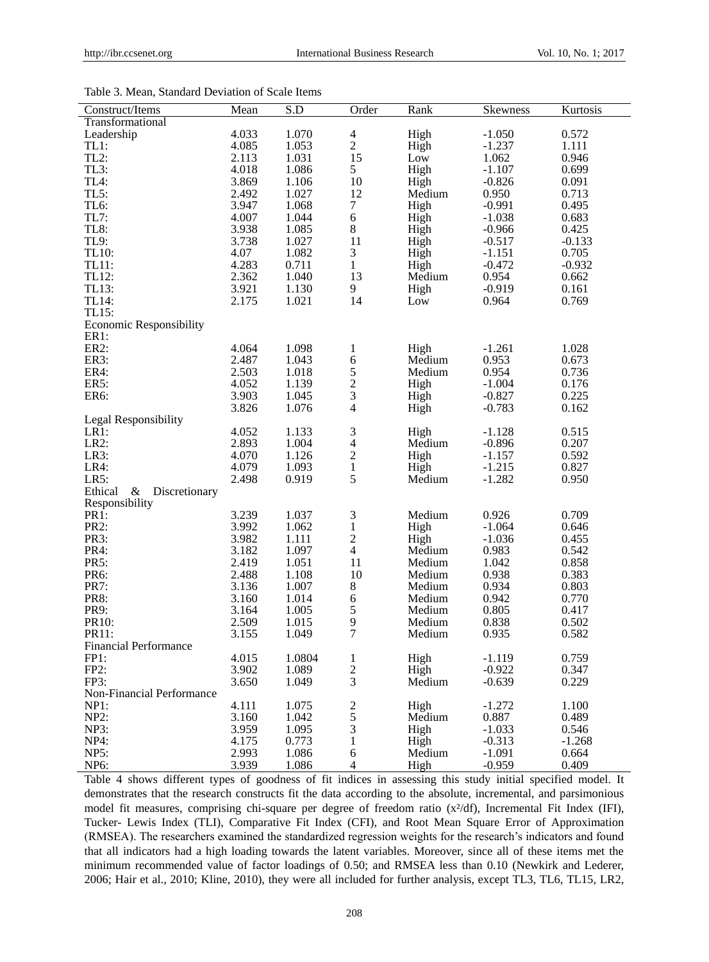| Construct/Items                | Mean  | S.D    | Order                    | Rank   | <b>Skewness</b> | Kurtosis |
|--------------------------------|-------|--------|--------------------------|--------|-----------------|----------|
| Transformational               |       |        |                          |        |                 |          |
| Leadership                     | 4.033 | 1.070  | $\overline{\mathbf{4}}$  | High   | $-1.050$        | 0.572    |
| TL1:                           | 4.085 | 1.053  | $\overline{c}$           | High   | $-1.237$        | 1.111    |
| TL2:                           | 2.113 | 1.031  | 15                       | Low    | 1.062           | 0.946    |
| TL3:                           | 4.018 | 1.086  | 5                        | High   | $-1.107$        | 0.699    |
| TL4:                           | 3.869 | 1.106  | 10                       | High   | $-0.826$        | 0.091    |
| TL5:                           | 2.492 |        | 12                       |        | 0.950           | 0.713    |
|                                |       | 1.027  |                          | Medium |                 |          |
| TL6:                           | 3.947 | 1.068  | 7                        | High   | $-0.991$        | 0.495    |
| TL7:                           | 4.007 | 1.044  | 6                        | High   | $-1.038$        | 0.683    |
| TL8:                           | 3.938 | 1.085  | $8\,$                    | High   | $-0.966$        | 0.425    |
| TL9:                           | 3.738 | 1.027  | 11                       | High   | $-0.517$        | $-0.133$ |
| TL10:                          | 4.07  | 1.082  | 3                        | High   | $-1.151$        | 0.705    |
| <b>TL11:</b>                   | 4.283 | 0.711  | $\mathbf{1}$             | High   | $-0.472$        | $-0.932$ |
| TL12:                          | 2.362 | 1.040  | 13                       | Medium | 0.954           | 0.662    |
| TL13:                          | 3.921 | 1.130  | 9                        | High   | $-0.919$        | 0.161    |
| TL14:                          | 2.175 | 1.021  | 14                       | Low    | 0.964           | 0.769    |
| TL15:                          |       |        |                          |        |                 |          |
|                                |       |        |                          |        |                 |          |
| <b>Economic Responsibility</b> |       |        |                          |        |                 |          |
| ER1:                           |       |        |                          |        |                 |          |
| ER2:                           | 4.064 | 1.098  | $\mathbf{1}$             | High   | $-1.261$        | 1.028    |
| ER3:                           | 2.487 | 1.043  | 6                        | Medium | 0.953           | 0.673    |
| ER4:                           | 2.503 | 1.018  |                          | Medium | 0.954           | 0.736    |
| ER5:                           | 4.052 | 1.139  | $\frac{5}{2}$            | High   | $-1.004$        | 0.176    |
| ER6:                           | 3.903 | 1.045  |                          | High   | $-0.827$        | 0.225    |
|                                | 3.826 | 1.076  | 4                        | High   | $-0.783$        | 0.162    |
| <b>Legal Responsibility</b>    |       |        |                          |        |                 |          |
|                                | 4.052 |        |                          |        |                 |          |
| LR1:                           |       | 1.133  | 3                        | High   | $-1.128$        | 0.515    |
| $LR2$ :                        | 2.893 | 1.004  | $\overline{\mathcal{L}}$ | Medium | $-0.896$        | 0.207    |
| LR3:                           | 4.070 | 1.126  | $\overline{c}$           | High   | $-1.157$        | 0.592    |
| LR4:                           | 4.079 | 1.093  | $\,1$                    | High   | $-1.215$        | 0.827    |
| LR5:                           | 2.498 | 0.919  | 5                        | Medium | $-1.282$        | 0.950    |
| Ethical<br>&<br>Discretionary  |       |        |                          |        |                 |          |
| Responsibility                 |       |        |                          |        |                 |          |
| PR <sub>1</sub> :              | 3.239 | 1.037  | 3                        | Medium | 0.926           | 0.709    |
| PR2:                           | 3.992 | 1.062  | $\mathbf{1}$             | High   | $-1.064$        | 0.646    |
| PR3:                           | 3.982 | 1.111  | $\overline{c}$           | High   | $-1.036$        | 0.455    |
|                                |       |        | $\overline{4}$           |        |                 |          |
| PR4:                           | 3.182 | 1.097  |                          | Medium | 0.983           | 0.542    |
| PR5:                           | 2.419 | 1.051  | 11                       | Medium | 1.042           | 0.858    |
| PR6:                           | 2.488 | 1.108  | 10                       | Medium | 0.938           | 0.383    |
| PR7:                           | 3.136 | 1.007  | 8                        | Medium | 0.934           | 0.803    |
| PR8:                           | 3.160 | 1.014  | $\boldsymbol{6}$         | Medium | 0.942           | 0.770    |
| PR9:                           | 3.164 | 1.005  | 5                        | Medium | 0.805           | 0.417    |
| PR10:                          | 2.509 | 1.015  | 9                        | Medium | 0.838           | 0.502    |
| PR11:                          | 3.155 | 1.049  | $\boldsymbol{7}$         | Medium | 0.935           | 0.582    |
| <b>Financial Performance</b>   |       |        |                          |        |                 |          |
| FP1:                           | 4.015 | 1.0804 |                          | High   | $-1.119$        | 0.759    |
|                                |       |        | $\mathbf{1}$             |        |                 |          |
| FP2:                           | 3.902 | 1.089  | $\overline{c}$           | High   | $-0.922$        | 0.347    |
| FP3:                           | 3.650 | 1.049  | 3                        | Medium | $-0.639$        | 0.229    |
| Non-Financial Performance      |       |        |                          |        |                 |          |
| NP1:                           | 4.111 | 1.075  |                          | High   | $-1.272$        | 1.100    |
| NP2:                           | 3.160 | 1.042  | $rac{2}{5}$              | Medium | 0.887           | 0.489    |
| NP3:                           | 3.959 | 1.095  | 3                        | High   | $-1.033$        | 0.546    |
| NP4:                           | 4.175 | 0.773  | 1                        | High   | $-0.313$        | $-1.268$ |
| NP5:                           | 2.993 | 1.086  | 6                        | Medium | $-1.091$        | 0.664    |
| NP6:                           | 3.939 | 1.086  | $\overline{\mathcal{L}}$ | High   | $-0.959$        | 0.409    |
|                                |       |        |                          |        |                 |          |

Table 3. Mean, Standard Deviation of Scale Items

Table 4 shows different types of goodness of fit indices in assessing this study initial specified model. It demonstrates that the research constructs fit the data according to the absolute, incremental, and parsimonious model fit measures, comprising chi-square per degree of freedom ratio  $(x \nmid d)$ , Incremental Fit Index (IFI), Tucker- Lewis Index (TLI), Comparative Fit Index (CFI), and Root Mean Square Error of Approximation (RMSEA). The researchers examined the standardized regression weights for the research"s indicators and found that all indicators had a high loading towards the latent variables. Moreover, since all of these items met the minimum recommended value of factor loadings of 0.50; and RMSEA less than 0.10 (Newkirk and Lederer, 2006; Hair et al., 2010; Kline, 2010), they were all included for further analysis, except TL3, TL6, TL15, LR2,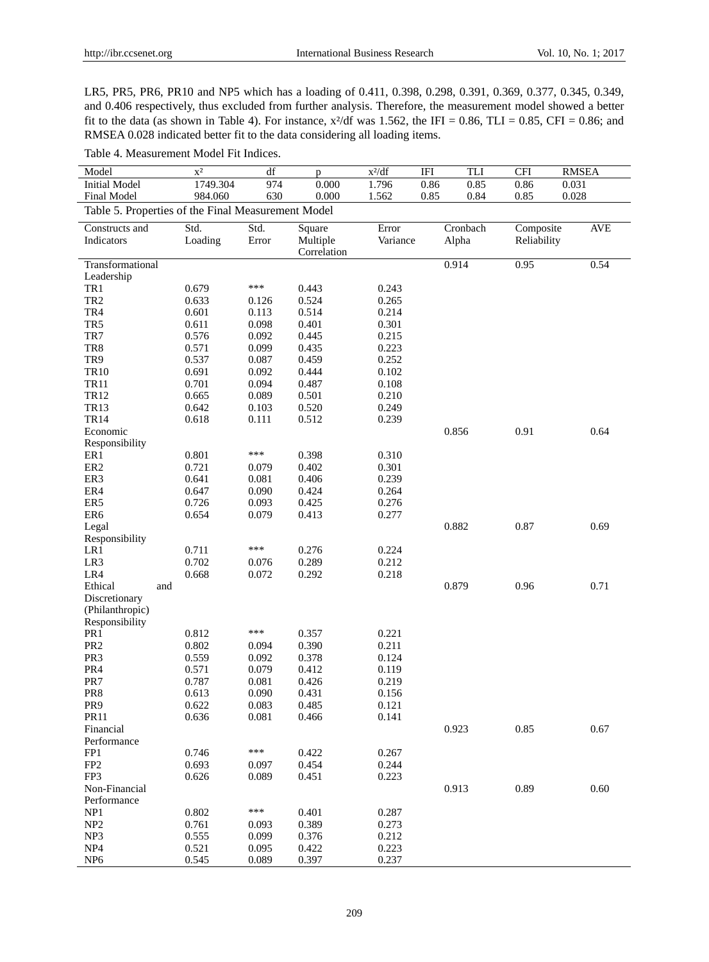LR5, PR5, PR6, PR10 and NP5 which has a loading of 0.411, 0.398, 0.298, 0.391, 0.369, 0.377, 0.345, 0.349, and 0.406 respectively, thus excluded from further analysis. Therefore, the measurement model showed a better fit to the data (as shown in Table 4). For instance, x  $3d$ f was 1.562, the IFI = 0.86, TLI = 0.85, CFI = 0.86; and RMSEA 0.028 indicated better fit to the data considering all loading items.

| Table 4. Measurement Model Fit Indices. |
|-----------------------------------------|
|-----------------------------------------|

| Model                                              | $\boldsymbol{X}^2$ | df    | p           | x <sup><i>i</i>df</sup> | IFI  | TLI      | <b>CFI</b>  | <b>RMSEA</b>         |
|----------------------------------------------------|--------------------|-------|-------------|-------------------------|------|----------|-------------|----------------------|
| <b>Initial Model</b>                               | 1749.304           | 974   | 0.000       | 1.796                   | 0.86 | 0.85     | 0.86        | 0.031                |
| Final Model                                        | 984.060            | 630   | 0.000       | 1.562                   | 0.85 | 0.84     | 0.85        | 0.028                |
| Table 5. Properties of the Final Measurement Model |                    |       |             |                         |      |          |             |                      |
| Constructs and                                     | Std.               | Std.  | Square      | Error                   |      | Cronbach | Composite   | $\operatorname{AVE}$ |
| Indicators                                         | Loading            | Error | Multiple    | Variance                |      | Alpha    | Reliability |                      |
|                                                    |                    |       | Correlation |                         |      |          |             |                      |
| Transformational                                   |                    |       |             |                         |      | 0.914    | 0.95        | 0.54                 |
|                                                    |                    |       |             |                         |      |          |             |                      |
| Leadership                                         |                    | ***   |             |                         |      |          |             |                      |
| TR1                                                | 0.679              |       | 0.443       | 0.243                   |      |          |             |                      |
| TR <sub>2</sub>                                    | 0.633              | 0.126 | 0.524       | 0.265                   |      |          |             |                      |
| TR4                                                | 0.601              | 0.113 | 0.514       | 0.214                   |      |          |             |                      |
| TR5                                                | 0.611              | 0.098 | 0.401       | 0.301                   |      |          |             |                      |
| TR7                                                | 0.576              | 0.092 | 0.445       | 0.215                   |      |          |             |                      |
| TR8                                                | 0.571              | 0.099 | 0.435       | 0.223                   |      |          |             |                      |
| TR9                                                | 0.537              | 0.087 | 0.459       | 0.252                   |      |          |             |                      |
| <b>TR10</b>                                        | 0.691              | 0.092 | 0.444       | 0.102                   |      |          |             |                      |
| <b>TR11</b>                                        | 0.701              | 0.094 | 0.487       | 0.108                   |      |          |             |                      |
| <b>TR12</b>                                        | 0.665              | 0.089 | 0.501       | 0.210                   |      |          |             |                      |
| <b>TR13</b>                                        | 0.642              | 0.103 | 0.520       | 0.249                   |      |          |             |                      |
| <b>TR14</b>                                        | 0.618              | 0.111 | 0.512       | 0.239                   |      |          |             |                      |
| Economic                                           |                    |       |             |                         |      | 0.856    | 0.91        | 0.64                 |
| Responsibility                                     |                    |       |             |                         |      |          |             |                      |
| ER1                                                | 0.801              | ***   | 0.398       | 0.310                   |      |          |             |                      |
| ER <sub>2</sub>                                    | 0.721              | 0.079 | 0.402       | 0.301                   |      |          |             |                      |
| ER3                                                | 0.641              | 0.081 | 0.406       | 0.239                   |      |          |             |                      |
| ER4                                                | 0.647              | 0.090 | 0.424       | 0.264                   |      |          |             |                      |
| ER <sub>5</sub>                                    | 0.726              | 0.093 | 0.425       | 0.276                   |      |          |             |                      |
| ER6                                                | 0.654              |       |             | 0.277                   |      |          |             |                      |
|                                                    |                    | 0.079 | 0.413       |                         |      |          |             |                      |
| Legal                                              |                    |       |             |                         |      | 0.882    | 0.87        | 0.69                 |
| Responsibility                                     |                    | ***   |             |                         |      |          |             |                      |
| LR1                                                | 0.711              |       | 0.276       | 0.224                   |      |          |             |                      |
| LR3                                                | 0.702              | 0.076 | 0.289       | 0.212                   |      |          |             |                      |
| LR4                                                | 0.668              | 0.072 | 0.292       | 0.218                   |      |          |             |                      |
| Ethical<br>and                                     |                    |       |             |                         |      | 0.879    | 0.96        | 0.71                 |
| Discretionary                                      |                    |       |             |                         |      |          |             |                      |
| (Philanthropic)                                    |                    |       |             |                         |      |          |             |                      |
| Responsibility                                     |                    |       |             |                         |      |          |             |                      |
| PR1                                                | 0.812              | ***   | 0.357       | 0.221                   |      |          |             |                      |
| PR <sub>2</sub>                                    | 0.802              | 0.094 | 0.390       | 0.211                   |      |          |             |                      |
| PR3                                                | 0.559              | 0.092 | 0.378       | 0.124                   |      |          |             |                      |
| PR4                                                | 0.571              | 0.079 | 0.412       | 0.119                   |      |          |             |                      |
| PR7                                                | 0.787              | 0.081 | 0.426       | 0.219                   |      |          |             |                      |
| PR8                                                | 0.613              | 0.090 | 0.431       | 0.156                   |      |          |             |                      |
| PR9                                                | 0.622              | 0.083 | 0.485       | 0.121                   |      |          |             |                      |
| <b>PR11</b>                                        | 0.636              | 0.081 | 0.466       | 0.141                   |      |          |             |                      |
| Financial                                          |                    |       |             |                         |      | 0.923    | 0.85        | 0.67                 |
| Performance                                        |                    |       |             |                         |      |          |             |                      |
| FP1                                                | 0.746              | ***   | 0.422       | 0.267                   |      |          |             |                      |
| FP <sub>2</sub>                                    | 0.693              | 0.097 | 0.454       | 0.244                   |      |          |             |                      |
| FP3                                                | 0.626              | 0.089 | 0.451       | 0.223                   |      |          |             |                      |
| Non-Financial                                      |                    |       |             |                         |      | 0.913    | 0.89        | 0.60                 |
| Performance                                        |                    |       |             |                         |      |          |             |                      |
|                                                    |                    | ***   |             |                         |      |          |             |                      |
| NP1                                                | 0.802              |       | 0.401       | 0.287                   |      |          |             |                      |
| NP <sub>2</sub>                                    | 0.761              | 0.093 | 0.389       | 0.273                   |      |          |             |                      |
| NP3                                                | 0.555              | 0.099 | 0.376       | 0.212                   |      |          |             |                      |
| $\mathrm{NP}4$                                     | 0.521              | 0.095 | 0.422       | 0.223                   |      |          |             |                      |
| NP <sub>6</sub>                                    | 0.545              | 0.089 | 0.397       | 0.237                   |      |          |             |                      |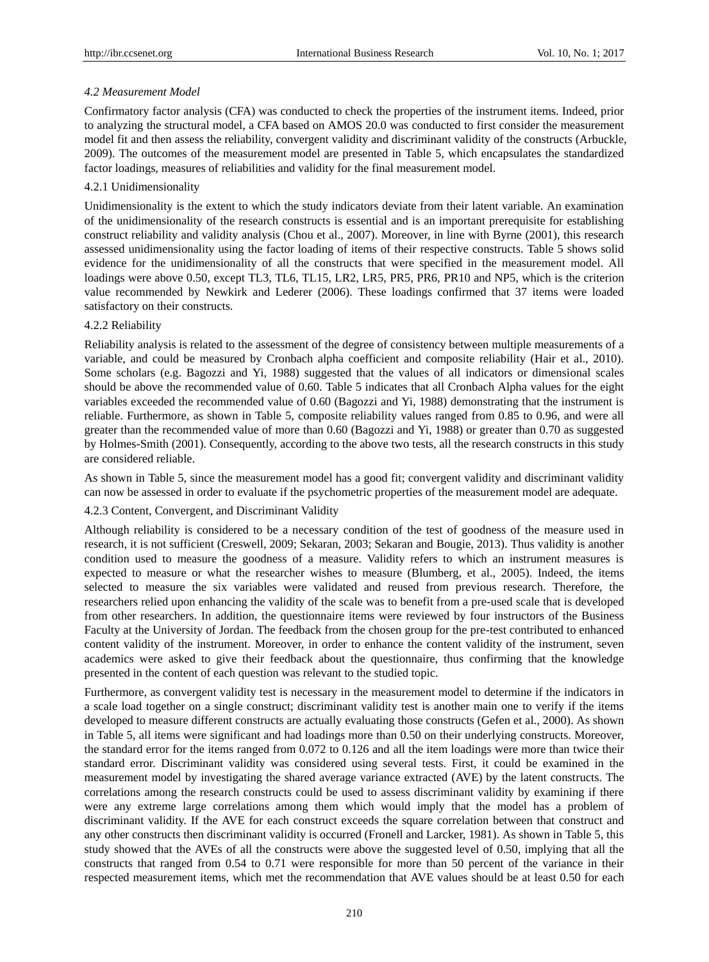## *4.2 Measurement Model*

Confirmatory factor analysis (CFA) was conducted to check the properties of the instrument items. Indeed, prior to analyzing the structural model, a CFA based on AMOS 20.0 was conducted to first consider the measurement model fit and then assess the reliability, convergent validity and discriminant validity of the constructs (Arbuckle, 2009). The outcomes of the measurement model are presented in Table 5, which encapsulates the standardized factor loadings, measures of reliabilities and validity for the final measurement model.

## 4.2.1 Unidimensionality

Unidimensionality is the extent to which the study indicators deviate from their latent variable. An examination of the unidimensionality of the research constructs is essential and is an important prerequisite for establishing construct reliability and validity analysis (Chou et al., 2007). Moreover, in line with Byrne (2001), this research assessed unidimensionality using the factor loading of items of their respective constructs. Table 5 shows solid evidence for the unidimensionality of all the constructs that were specified in the measurement model. All loadings were above 0.50, except TL3, TL6, TL15, LR2, LR5, PR5, PR6, PR10 and NP5, which is the criterion value recommended by Newkirk and Lederer (2006). These loadings confirmed that 37 items were loaded satisfactory on their constructs.

#### 4.2.2 Reliability

Reliability analysis is related to the assessment of the degree of consistency between multiple measurements of a variable, and could be measured by Cronbach alpha coefficient and composite reliability (Hair et al., 2010). Some scholars (e.g. Bagozzi and Yi, 1988) suggested that the values of all indicators or dimensional scales should be above the recommended value of 0.60. Table 5 indicates that all Cronbach Alpha values for the eight variables exceeded the recommended value of 0.60 (Bagozzi and Yi, 1988) demonstrating that the instrument is reliable. Furthermore, as shown in Table 5, composite reliability values ranged from 0.85 to 0.96, and were all greater than the recommended value of more than 0.60 (Bagozzi and Yi, 1988) or greater than 0.70 as suggested by Holmes-Smith (2001). Consequently, according to the above two tests, all the research constructs in this study are considered reliable.

As shown in Table 5, since the measurement model has a good fit; convergent validity and discriminant validity can now be assessed in order to evaluate if the psychometric properties of the measurement model are adequate.

#### 4.2.3 Content, Convergent, and Discriminant Validity

Although reliability is considered to be a necessary condition of the test of goodness of the measure used in research, it is not sufficient (Creswell, 2009; Sekaran, 2003; Sekaran and Bougie, 2013). Thus validity is another condition used to measure the goodness of a measure. Validity refers to which an instrument measures is expected to measure or what the researcher wishes to measure (Blumberg, et al., 2005). Indeed, the items selected to measure the six variables were validated and reused from previous research. Therefore, the researchers relied upon enhancing the validity of the scale was to benefit from a pre-used scale that is developed from other researchers. In addition, the questionnaire items were reviewed by four instructors of the Business Faculty at the University of Jordan. The feedback from the chosen group for the pre-test contributed to enhanced content validity of the instrument. Moreover, in order to enhance the content validity of the instrument, seven academics were asked to give their feedback about the questionnaire, thus confirming that the knowledge presented in the content of each question was relevant to the studied topic.

Furthermore, as convergent validity test is necessary in the measurement model to determine if the indicators in a scale load together on a single construct; discriminant validity test is another main one to verify if the items developed to measure different constructs are actually evaluating those constructs (Gefen et al., 2000). As shown in Table 5, all items were significant and had loadings more than 0.50 on their underlying constructs. Moreover, the standard error for the items ranged from 0.072 to 0.126 and all the item loadings were more than twice their standard error. Discriminant validity was considered using several tests. First, it could be examined in the measurement model by investigating the shared average variance extracted (AVE) by the latent constructs. The correlations among the research constructs could be used to assess discriminant validity by examining if there were any extreme large correlations among them which would imply that the model has a problem of discriminant validity. If the AVE for each construct exceeds the square correlation between that construct and any other constructs then discriminant validity is occurred (Fronell and Larcker, 1981). As shown in Table 5, this study showed that the AVEs of all the constructs were above the suggested level of 0.50, implying that all the constructs that ranged from 0.54 to 0.71 were responsible for more than 50 percent of the variance in their respected measurement items, which met the recommendation that AVE values should be at least 0.50 for each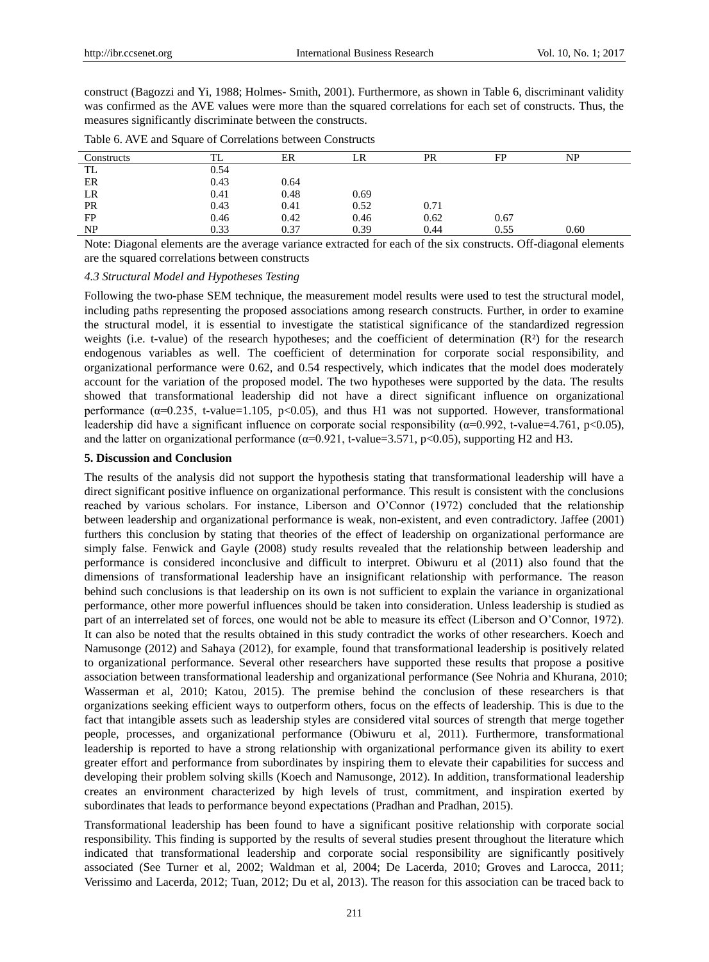construct (Bagozzi and Yi, 1988; Holmes- Smith, 2001). Furthermore, as shown in Table 6, discriminant validity was confirmed as the AVE values were more than the squared correlations for each set of constructs. Thus, the measures significantly discriminate between the constructs.

| Constructs | m    | ER   | LR   | <b>PR</b> | FР   | NP   |  |
|------------|------|------|------|-----------|------|------|--|
| TL         | 0.54 |      |      |           |      |      |  |
| ER         | 0.43 | 0.64 |      |           |      |      |  |
| LR         | 0.41 | 0.48 | 0.69 |           |      |      |  |
| <b>PR</b>  | 0.43 | 0.41 | 0.52 | 0.71      |      |      |  |
| FP         | 0.46 | 0.42 | 0.46 | 0.62      | 0.67 |      |  |
| NP         | 0.33 | 0.37 | 0.39 | 0.44      | 0.55 | 0.60 |  |

Table 6. AVE and Square of Correlations between Constructs

Note: Diagonal elements are the average variance extracted for each of the six constructs. Off-diagonal elements are the squared correlations between constructs

#### *4.3 Structural Model and Hypotheses Testing*

Following the two-phase SEM technique, the measurement model results were used to test the structural model, including paths representing the proposed associations among research constructs. Further, in order to examine the structural model, it is essential to investigate the statistical significance of the standardized regression weights (i.e. t-value) of the research hypotheses; and the coefficient of determination  $(R<sup>3</sup>)$  for the research endogenous variables as well. The coefficient of determination for corporate social responsibility, and organizational performance were 0.62, and 0.54 respectively, which indicates that the model does moderately account for the variation of the proposed model. The two hypotheses were supported by the data. The results showed that transformational leadership did not have a direct significant influence on organizational performance  $(\alpha=0.235, t-value=1.105, p<0.05)$ , and thus H1 was not supported. However, transformational leadership did have a significant influence on corporate social responsibility ( $\alpha$ =0.992, t-value=4.761, p<0.05), and the latter on organizational performance ( $\alpha$ =0.921, t-value=3.571, p<0.05), supporting H2 and H3.

#### **5. Discussion and Conclusion**

The results of the analysis did not support the hypothesis stating that transformational leadership will have a direct significant positive influence on organizational performance. This result is consistent with the conclusions reached by various scholars. For instance, Liberson and O"Connor (1972) concluded that the relationship between leadership and organizational performance is weak, non-existent, and even contradictory. Jaffee (2001) furthers this conclusion by stating that theories of the effect of leadership on organizational performance are simply false. Fenwick and Gayle (2008) study results revealed that the relationship between leadership and performance is considered inconclusive and difficult to interpret. Obiwuru et al (2011) also found that the dimensions of transformational leadership have an insignificant relationship with performance. The reason behind such conclusions is that leadership on its own is not sufficient to explain the variance in organizational performance, other more powerful influences should be taken into consideration. Unless leadership is studied as part of an interrelated set of forces, one would not be able to measure its effect (Liberson and O"Connor, 1972). It can also be noted that the results obtained in this study contradict the works of other researchers. Koech and Namusonge (2012) and Sahaya (2012), for example, found that transformational leadership is positively related to organizational performance. Several other researchers have supported these results that propose a positive association between transformational leadership and organizational performance (See Nohria and Khurana, 2010; Wasserman et al, 2010; Katou, 2015). The premise behind the conclusion of these researchers is that organizations seeking efficient ways to outperform others, focus on the effects of leadership. This is due to the fact that intangible assets such as leadership styles are considered vital sources of strength that merge together people, processes, and organizational performance (Obiwuru et al, 2011). Furthermore, transformational leadership is reported to have a strong relationship with organizational performance given its ability to exert greater effort and performance from subordinates by inspiring them to elevate their capabilities for success and developing their problem solving skills (Koech and Namusonge, 2012). In addition, transformational leadership creates an environment characterized by high levels of trust, commitment, and inspiration exerted by subordinates that leads to performance beyond expectations (Pradhan and Pradhan, 2015).

Transformational leadership has been found to have a significant positive relationship with corporate social responsibility. This finding is supported by the results of several studies present throughout the literature which indicated that transformational leadership and corporate social responsibility are significantly positively associated (See Turner et al, 2002; Waldman et al, 2004; De Lacerda, 2010; Groves and Larocca, 2011; Verissimo and Lacerda, 2012; Tuan, 2012; Du et al, 2013). The reason for this association can be traced back to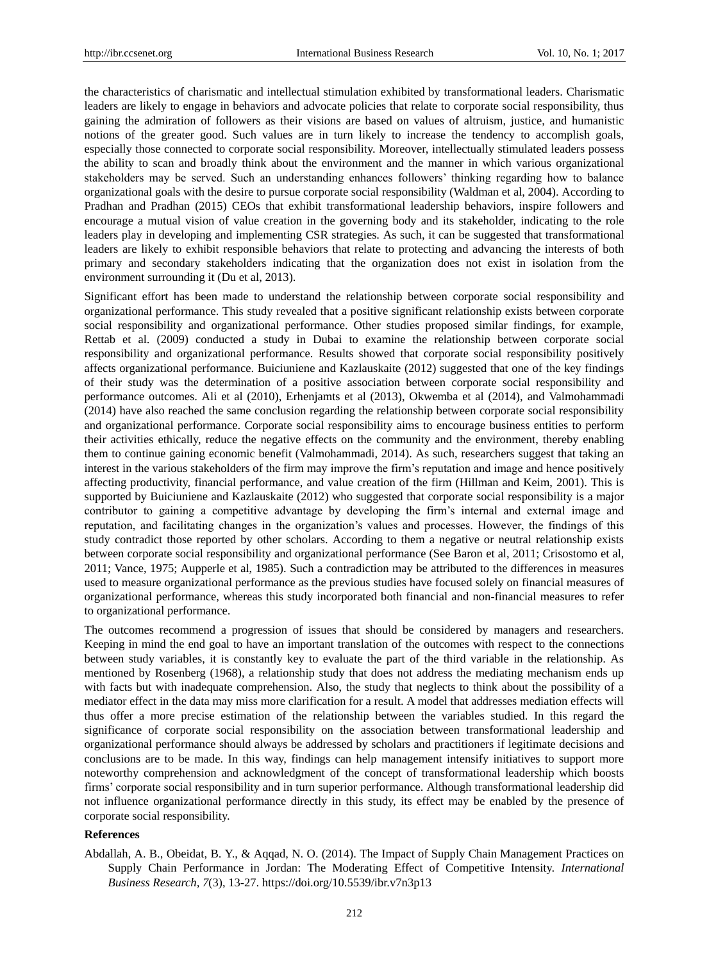the characteristics of charismatic and intellectual stimulation exhibited by transformational leaders. Charismatic leaders are likely to engage in behaviors and advocate policies that relate to corporate social responsibility, thus gaining the admiration of followers as their visions are based on values of altruism, justice, and humanistic notions of the greater good. Such values are in turn likely to increase the tendency to accomplish goals, especially those connected to corporate social responsibility. Moreover, intellectually stimulated leaders possess the ability to scan and broadly think about the environment and the manner in which various organizational stakeholders may be served. Such an understanding enhances followers" thinking regarding how to balance organizational goals with the desire to pursue corporate social responsibility (Waldman et al, 2004). According to Pradhan and Pradhan (2015) CEOs that exhibit transformational leadership behaviors, inspire followers and encourage a mutual vision of value creation in the governing body and its stakeholder, indicating to the role leaders play in developing and implementing CSR strategies. As such, it can be suggested that transformational leaders are likely to exhibit responsible behaviors that relate to protecting and advancing the interests of both primary and secondary stakeholders indicating that the organization does not exist in isolation from the environment surrounding it (Du et al, 2013).

Significant effort has been made to understand the relationship between corporate social responsibility and organizational performance. This study revealed that a positive significant relationship exists between corporate social responsibility and organizational performance. Other studies proposed similar findings, for example, Rettab et al. (2009) conducted a study in Dubai to examine the relationship between corporate social responsibility and organizational performance. Results showed that corporate social responsibility positively affects organizational performance. Buiciuniene and Kazlauskaite (2012) suggested that one of the key findings of their study was the determination of a positive association between corporate social responsibility and performance outcomes. Ali et al (2010), Erhenjamts et al (2013), Okwemba et al (2014), and Valmohammadi (2014) have also reached the same conclusion regarding the relationship between corporate social responsibility and organizational performance. Corporate social responsibility aims to encourage business entities to perform their activities ethically, reduce the negative effects on the community and the environment, thereby enabling them to continue gaining economic benefit (Valmohammadi, 2014). As such, researchers suggest that taking an interest in the various stakeholders of the firm may improve the firm"s reputation and image and hence positively affecting productivity, financial performance, and value creation of the firm (Hillman and Keim, 2001). This is supported by Buiciuniene and Kazlauskaite (2012) who suggested that corporate social responsibility is a major contributor to gaining a competitive advantage by developing the firm"s internal and external image and reputation, and facilitating changes in the organization"s values and processes. However, the findings of this study contradict those reported by other scholars. According to them a negative or neutral relationship exists between corporate social responsibility and organizational performance (See Baron et al, 2011; Crisostomo et al, 2011; Vance, 1975; Aupperle et al, 1985). Such a contradiction may be attributed to the differences in measures used to measure organizational performance as the previous studies have focused solely on financial measures of organizational performance, whereas this study incorporated both financial and non-financial measures to refer to organizational performance.

The outcomes recommend a progression of issues that should be considered by managers and researchers. Keeping in mind the end goal to have an important translation of the outcomes with respect to the connections between study variables, it is constantly key to evaluate the part of the third variable in the relationship. As mentioned by Rosenberg (1968), a relationship study that does not address the mediating mechanism ends up with facts but with inadequate comprehension. Also, the study that neglects to think about the possibility of a mediator effect in the data may miss more clarification for a result. A model that addresses mediation effects will thus offer a more precise estimation of the relationship between the variables studied. In this regard the significance of corporate social responsibility on the association between transformational leadership and organizational performance should always be addressed by scholars and practitioners if legitimate decisions and conclusions are to be made. In this way, findings can help management intensify initiatives to support more noteworthy comprehension and acknowledgment of the concept of transformational leadership which boosts firms" corporate social responsibility and in turn superior performance. Although transformational leadership did not influence organizational performance directly in this study, its effect may be enabled by the presence of corporate social responsibility.

#### **References**

Abdallah, A. B., Obeidat, B. Y., & Aqqad, N. O. (2014). The Impact of Supply Chain Management Practices on Supply Chain Performance in Jordan: The Moderating Effect of Competitive Intensity. *International Business Research, 7*(3), 13-27. <https://doi.org/10.5539/ibr.v7n3p13>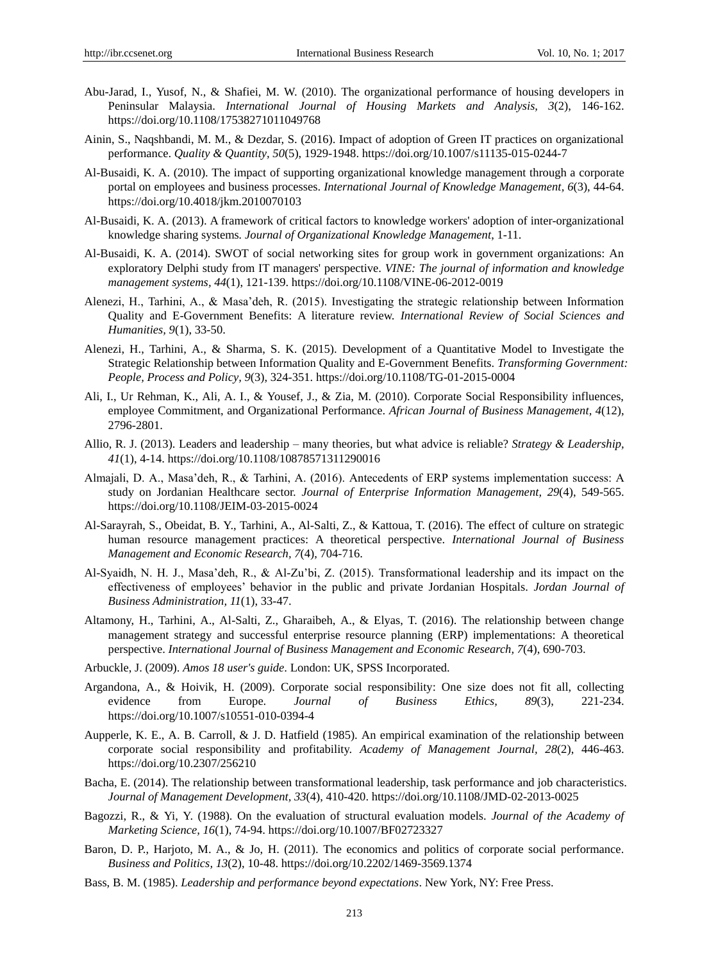- Abu-Jarad, I., Yusof, N., & Shafiei, M. W. (2010). The organizational performance of housing developers in Peninsular Malaysia. *International Journal of Housing Markets and Analysis, 3*(2), 146-162. <https://doi.org/10.1108/17538271011049768>
- Ainin, S., Naqshbandi, M. M., & Dezdar, S. (2016). Impact of adoption of Green IT practices on organizational performance. *Quality & Quantity, 50*(5), 1929-1948. <https://doi.org/10.1007/s11135-015-0244-7>
- Al-Busaidi, K. A. (2010). The impact of supporting organizational knowledge management through a corporate portal on employees and business processes. *International Journal of Knowledge Management, 6*(3), 44-64. <https://doi.org/10.4018/jkm.2010070103>
- Al-Busaidi, K. A. (2013). A framework of critical factors to knowledge workers' adoption of inter-organizational knowledge sharing systems*. Journal of Organizational Knowledge Management*, 1-11.
- Al-Busaidi, K. A. (2014). SWOT of social networking sites for group work in government organizations: An exploratory Delphi study from IT managers' perspective. *VINE: The journal of information and knowledge management systems, 44*(1), 121-139. <https://doi.org/10.1108/VINE-06-2012-0019>
- Alenezi, H., Tarhini, A., & Masa"deh, R. (2015). Investigating the strategic relationship between Information Quality and E-Government Benefits: A literature review. *International Review of Social Sciences and Humanities, 9*(1), 33-50.
- Alenezi, H., Tarhini, A., & Sharma, S. K. (2015). Development of a Quantitative Model to Investigate the Strategic Relationship between Information Quality and E-Government Benefits. *Transforming Government: People, Process and Policy, 9*(3), 324-351. <https://doi.org/10.1108/TG-01-2015-0004>
- Ali, I., Ur Rehman, K., Ali, A. I., & Yousef, J., & Zia, M. (2010). Corporate Social Responsibility influences, employee Commitment, and Organizational Performance. *African Journal of Business Management, 4*(12), 2796-2801.
- Allio, R. J. (2013). Leaders and leadership many theories, but what advice is reliable? *Strategy & Leadership, 41*(1), 4-14. <https://doi.org/10.1108/10878571311290016>
- Almajali, D. A., Masa"deh, R., & Tarhini, A. (2016). Antecedents of ERP systems implementation success: A study on Jordanian Healthcare sector. *Journal of Enterprise Information Management, 29*(4), 549-565. <https://doi.org/10.1108/JEIM-03-2015-0024>
- Al-Sarayrah, S., Obeidat, B. Y., Tarhini, A., Al-Salti, Z., & Kattoua, T. (2016). The effect of culture on strategic human resource management practices: A theoretical perspective. *International Journal of Business Management and Economic Research, 7*(4), 704-716.
- Al-Syaidh, N. H. J., Masa"deh, R., & Al-Zu"bi, Z. (2015). Transformational leadership and its impact on the effectiveness of employees" behavior in the public and private Jordanian Hospitals. *Jordan Journal of Business Administration, 11*(1), 33-47.
- Altamony, H., Tarhini, A., Al-Salti, Z., Gharaibeh, A., & Elyas, T. (2016). The relationship between change management strategy and successful enterprise resource planning (ERP) implementations: A theoretical perspective. *International Journal of Business Management and Economic Research, 7*(4), 690-703.
- Arbuckle, J. (2009). *Amos 18 user's guide*. London: UK, SPSS Incorporated.
- Argandona, A., & Hoivik, H. (2009). Corporate social responsibility: One size does not fit all, collecting evidence from Europe. *Journal of Business Ethics, 89*(3), 221-234. <https://doi.org/10.1007/s10551-010-0394-4>
- Aupperle, K. E., A. B. Carroll, & J. D. Hatfield (1985). An empirical examination of the relationship between corporate social responsibility and profitability. *Academy of Management Journal, 28*(2), 446-463. <https://doi.org/10.2307/256210>
- Bacha, E. (2014). The relationship between transformational leadership, task performance and job characteristics. *Journal of Management Development, 33*(4), 410-420. <https://doi.org/10.1108/JMD-02-2013-0025>
- Bagozzi, R., & Yi, Y. (1988). On the evaluation of structural evaluation models. *Journal of the Academy of Marketing Science, 16*(1), 74-94. <https://doi.org/10.1007/BF02723327>
- Baron, D. P., Harjoto, M. A., & Jo, H. (2011). The economics and politics of corporate social performance. *Business and Politics, 13*(2), 10-48. <https://doi.org/10.2202/1469-3569.1374>
- Bass, B. M. (1985). *Leadership and performance beyond expectations*. New York, NY: Free Press.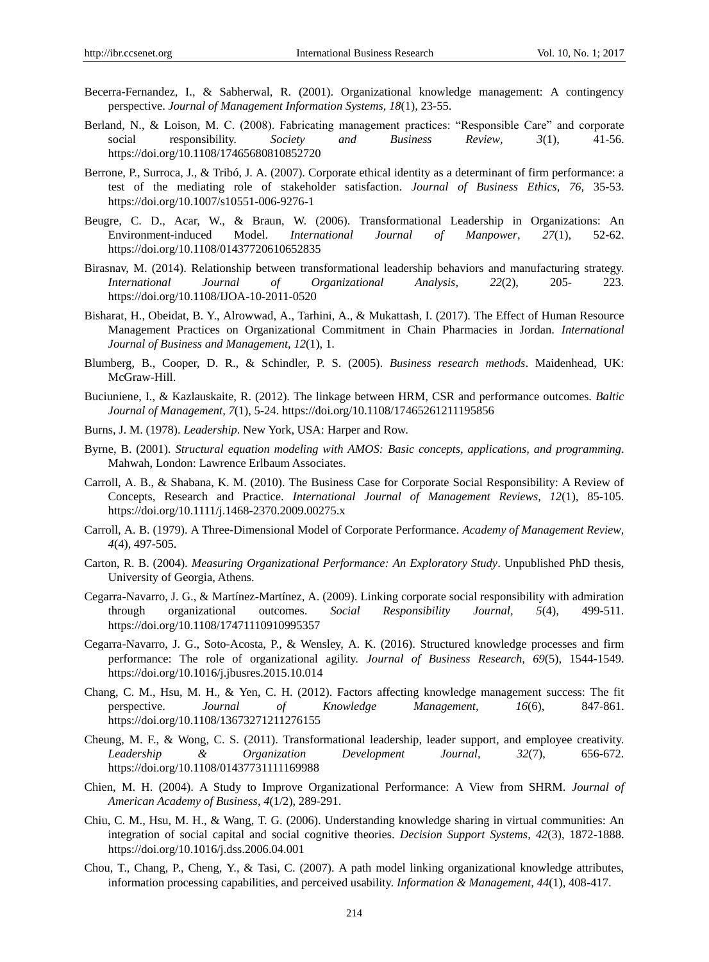- Becerra-Fernandez, I., & Sabherwal, R. (2001). Organizational knowledge management: A contingency perspective. *Journal of Management Information Systems, 18*(1), 23-55.
- Berland, N., & Loison, M. C. (2008). Fabricating management practices: "Responsible Care" and corporate social responsibility. *Society and Business Review, 3*(1), 41-56. <https://doi.org/10.1108/17465680810852720>
- Berrone, P., Surroca, J., & Tribó, J. A. (2007). Corporate ethical identity as a determinant of firm performance: a test of the mediating role of stakeholder satisfaction. *Journal of Business Ethics, 76,* 35-53. <https://doi.org/10.1007/s10551-006-9276-1>
- Beugre, C. D., Acar, W., & Braun, W. (2006). Transformational Leadership in Organizations: An Environment-induced Model. *International Journal of Manpower, 27*(1), 52-62. <https://doi.org/10.1108/01437720610652835>
- Birasnav, M. (2014). Relationship between transformational leadership behaviors and manufacturing strategy. *International Journal of Organizational Analysis, 22*(2), 205- 223. <https://doi.org/10.1108/IJOA-10-2011-0520>
- Bisharat, H., Obeidat, B. Y., Alrowwad, A., Tarhini, A., & Mukattash, I. (2017). The Effect of Human Resource Management Practices on Organizational Commitment in Chain Pharmacies in Jordan. *International Journal of Business and Management, 12*(1), 1.
- Blumberg, B., Cooper, D. R., & Schindler, P. S. (2005). *Business research methods*. Maidenhead, UK: McGraw-Hill.
- Buciuniene, I., & Kazlauskaite, R. (2012). The linkage between HRM, CSR and performance outcomes. *Baltic Journal of Management, 7*(1), 5-24. <https://doi.org/10.1108/17465261211195856>
- Burns, J. M. (1978). *Leadership*. New York, USA: Harper and Row.
- Byrne, B. (2001). *Structural equation modeling with AMOS: Basic concepts, applications, and programming*. Mahwah, London: Lawrence Erlbaum Associates.
- Carroll, A. B., & Shabana, K. M. (2010). The Business Case for Corporate Social Responsibility: A Review of Concepts, Research and Practice. *International Journal of Management Reviews, 12*(1), 85-105. <https://doi.org/10.1111/j.1468-2370.2009.00275.x>
- Carroll, A. B. (1979). A Three-Dimensional Model of Corporate Performance. *Academy of Management Review, 4*(4), 497-505.
- Carton, R. B. (2004). *Measuring Organizational Performance: An Exploratory Study*. Unpublished PhD thesis, University of Georgia, Athens.
- Cegarra-Navarro, J. G., & Mart ínez-Mart ínez, A. (2009). Linking corporate social responsibility with admiration through organizational outcomes. *Social Responsibility Journal, 5*(4), 499-511. <https://doi.org/10.1108/17471110910995357>
- Cegarra-Navarro, J. G., Soto-Acosta, P., & Wensley, A. K. (2016). Structured knowledge processes and firm performance: The role of organizational agility. *Journal of Business Research, 69*(5), 1544-1549. <https://doi.org/10.1016/j.jbusres.2015.10.014>
- Chang, C. M., Hsu, M. H., & Yen, C. H. (2012). Factors affecting knowledge management success: The fit perspective. *Journal of Knowledge Management, 16*(6), 847-861. <https://doi.org/10.1108/13673271211276155>
- Cheung, M. F., & Wong, C. S. (2011). Transformational leadership, leader support, and employee creativity. *Leadership & Organization Development Journal, 32*(7), 656-672. <https://doi.org/10.1108/01437731111169988>
- Chien, M. H. (2004). A Study to Improve Organizational Performance: A View from SHRM. *Journal of American Academy of Business, 4*(1/2), 289-291.
- Chiu, C. M., Hsu, M. H., & Wang, T. G. (2006). Understanding knowledge sharing in virtual communities: An integration of social capital and social cognitive theories. *Decision Support Systems, 42*(3), 1872-1888. <https://doi.org/10.1016/j.dss.2006.04.001>
- Chou, T., Chang, P., Cheng, Y., & Tasi, C. (2007). A path model linking organizational knowledge attributes, information processing capabilities, and perceived usability. *Information & Management, 44*(1), 408-417.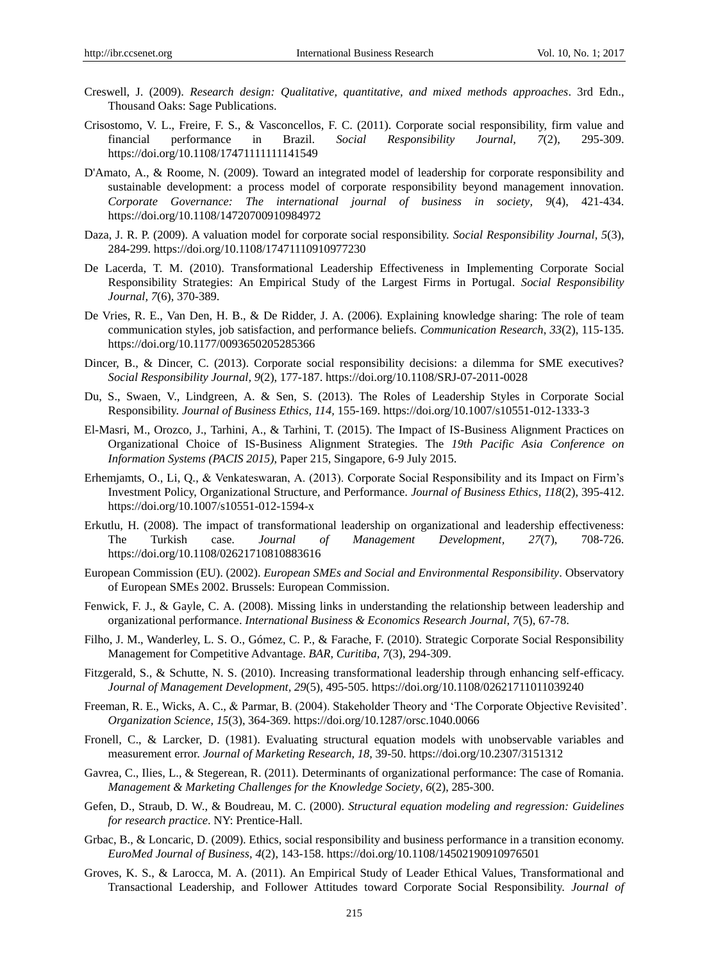- Creswell, J. (2009). *Research design: Qualitative, quantitative, and mixed methods approaches*. 3rd Edn., Thousand Oaks: Sage Publications.
- Crisostomo, V. L., Freire, F. S., & Vasconcellos, F. C. (2011). Corporate social responsibility, firm value and financial performance in Brazil. *Social Responsibility Journal, 7*(2), 295-309. <https://doi.org/10.1108/17471111111141549>
- D'Amato, A., & Roome, N. (2009). Toward an integrated model of leadership for corporate responsibility and sustainable development: a process model of corporate responsibility beyond management innovation. *Corporate Governance: The international journal of business in society, 9*(4), 421-434. <https://doi.org/10.1108/14720700910984972>
- Daza, J. R. P. (2009). A valuation model for corporate social responsibility. *Social Responsibility Journal, 5*(3), 284-299. <https://doi.org/10.1108/17471110910977230>
- De Lacerda, T. M. (2010). Transformational Leadership Effectiveness in Implementing Corporate Social Responsibility Strategies: An Empirical Study of the Largest Firms in Portugal. *Social Responsibility Journal, 7*(6), 370-389.
- De Vries, R. E., Van Den, H. B., & De Ridder, J. A. (2006). Explaining knowledge sharing: The role of team communication styles, job satisfaction, and performance beliefs. *Communication Research*, *33*(2), 115-135. <https://doi.org/10.1177/0093650205285366>
- Dincer, B., & Dincer, C. (2013). Corporate social responsibility decisions: a dilemma for SME executives? *Social Responsibility Journal, 9*(2), 177-187. <https://doi.org/10.1108/SRJ-07-2011-0028>
- Du, S., Swaen, V., Lindgreen, A. & Sen, S. (2013). The Roles of Leadership Styles in Corporate Social Responsibility. *Journal of Business Ethics, 114,* 155-169. <https://doi.org/10.1007/s10551-012-1333-3>
- El-Masri, M., Orozco, J., Tarhini, A., & Tarhini, T. (2015). The Impact of IS-Business Alignment Practices on Organizational Choice of IS-Business Alignment Strategies. The *19th Pacific Asia Conference on Information Systems (PACIS 2015)*, Paper 215, Singapore, 6-9 July 2015.
- Erhemjamts, O., Li, Q., & Venkateswaran, A. (2013). Corporate Social Responsibility and its Impact on Firm"s Investment Policy, Organizational Structure, and Performance. *Journal of Business Ethics, 118*(2), 395-412. <https://doi.org/10.1007/s10551-012-1594-x>
- Erkutlu, H. (2008). The impact of transformational leadership on organizational and leadership effectiveness: The Turkish case. *Journal of Management Development, 27*(7), 708-726. <https://doi.org/10.1108/02621710810883616>
- European Commission (EU). (2002). *European SMEs and Social and Environmental Responsibility*. Observatory of European SMEs 2002. Brussels: European Commission.
- Fenwick, F. J., & Gayle, C. A. (2008). Missing links in understanding the relationship between leadership and organizational performance. *International Business & Economics Research Journal, 7*(5), 67-78.
- Filho, J. M., Wanderley, L. S. O., Gómez, C. P., & Farache, F. (2010). Strategic Corporate Social Responsibility Management for Competitive Advantage. *BAR, Curitiba, 7*(3), 294-309.
- Fitzgerald, S., & Schutte, N. S. (2010). Increasing transformational leadership through enhancing self-efficacy. *Journal of Management Development, 29*(5), 495-505. <https://doi.org/10.1108/02621711011039240>
- Freeman, R. E., Wicks, A. C., & Parmar, B. (2004). Stakeholder Theory and "The Corporate Objective Revisited". *Organization Science, 15*(3), 364-369. <https://doi.org/10.1287/orsc.1040.0066>
- Fronell, C., & Larcker, D. (1981). Evaluating structural equation models with unobservable variables and measurement error. *Journal of Marketing Research, 18,* 39-50. <https://doi.org/10.2307/3151312>
- Gavrea, C., Ilies, L., & Stegerean, R. (2011). Determinants of organizational performance: The case of Romania. *Management & Marketing Challenges for the Knowledge Society, 6*(2), 285-300.
- Gefen, D., Straub, D. W., & Boudreau, M. C. (2000). *Structural equation modeling and regression: Guidelines for research practice*. NY: Prentice-Hall.
- Grbac, B., & Loncaric, D. (2009). Ethics, social responsibility and business performance in a transition economy. *EuroMed Journal of Business, 4*(2), 143-158. <https://doi.org/10.1108/14502190910976501>
- Groves, K. S., & Larocca, M. A. (2011). An Empirical Study of Leader Ethical Values, Transformational and Transactional Leadership, and Follower Attitudes toward Corporate Social Responsibility. *Journal of*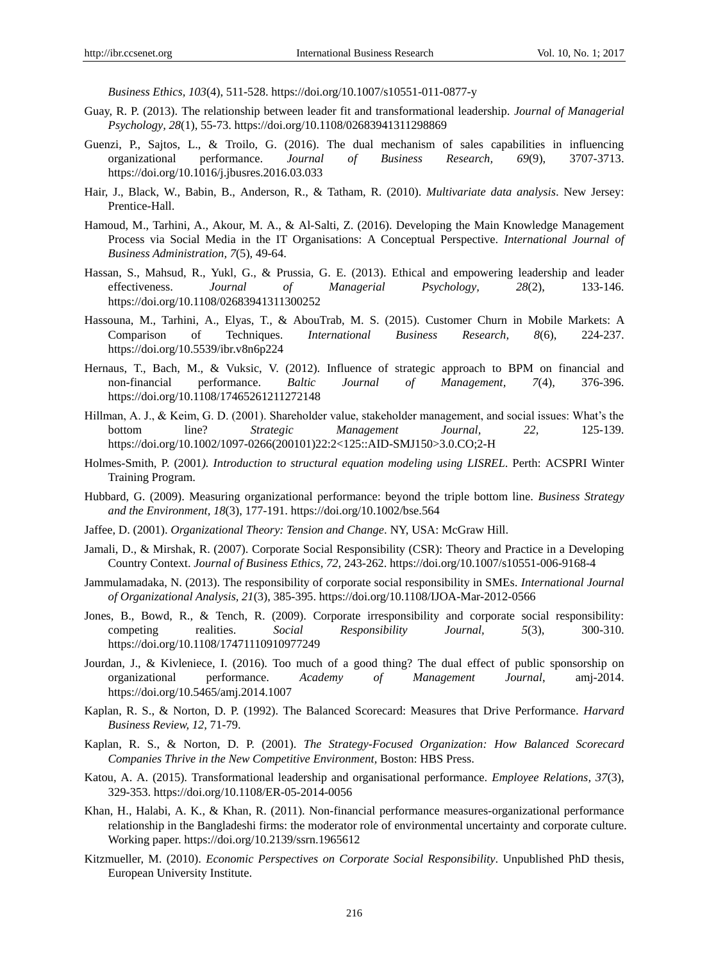*Business Ethics, 103*(4), 511-528. <https://doi.org/10.1007/s10551-011-0877-y>

- Guay, R. P. (2013). The relationship between leader fit and transformational leadership. *Journal of Managerial Psychology, 28*(1), 55-73. <https://doi.org/10.1108/02683941311298869>
- Guenzi, P., Saitos, L., & Troilo, G. (2016). The dual mechanism of sales capabilities in influencing organizational performance. *Journal of Business Research, 69*(9), 3707-3713. <https://doi.org/10.1016/j.jbusres.2016.03.033>
- Hair, J., Black, W., Babin, B., Anderson, R., & Tatham, R. (2010). *Multivariate data analysis*. New Jersey: Prentice-Hall.
- Hamoud, M., Tarhini, A., Akour, M. A., & Al-Salti, Z. (2016). Developing the Main Knowledge Management Process via Social Media in the IT Organisations: A Conceptual Perspective. *International Journal of Business Administration, 7*(5), 49-64.
- Hassan, S., Mahsud, R., Yukl, G., & Prussia, G. E. (2013). Ethical and empowering leadership and leader effectiveness. *Journal of Managerial Psychology, 28*(2), 133-146. <https://doi.org/10.1108/02683941311300252>
- Hassouna, M., Tarhini, A., Elyas, T., & AbouTrab, M. S. (2015). Customer Churn in Mobile Markets: A Comparison of Techniques. *International Business Research, 8*(6), 224-237. <https://doi.org/10.5539/ibr.v8n6p224>
- Hernaus, T., Bach, M., & Vuksic, V. (2012). Influence of strategic approach to BPM on financial and non-financial performance. *Baltic Journal of Management, 7*(4), 376-396. <https://doi.org/10.1108/17465261211272148>
- Hillman, A. J., & Keim, G. D. (2001). Shareholder value, stakeholder management, and social issues: What's the bottom line? *Strategic Management Journal, 22,* 125-139. [https://doi.org/10.1002/1097-0266\(200101\)22:2<125::AID-SMJ150>3.0.CO;2-H](https://doi.org/10.1002/1097-0266%28200101%2922:2%3C125::AID-SMJ150%3E3.0.CO;2-H)
- Holmes-Smith, P. (2001*). Introduction to structural equation modeling using LISREL*. Perth: ACSPRI Winter Training Program.
- Hubbard, G. (2009). Measuring organizational performance: beyond the triple bottom line. *Business Strategy and the Environment, 18*(3), 177-191. <https://doi.org/10.1002/bse.564>
- Jaffee, D. (2001). *Organizational Theory: Tension and Change*. NY, USA: McGraw Hill.
- Jamali, D., & Mirshak, R. (2007). Corporate Social Responsibility (CSR): Theory and Practice in a Developing Country Context. *Journal of Business Ethics, 72,* 243-262. <https://doi.org/10.1007/s10551-006-9168-4>
- Jammulamadaka, N. (2013). The responsibility of corporate social responsibility in SMEs*. International Journal of Organizational Analysis, 21*(3), 385-395. <https://doi.org/10.1108/IJOA-Mar-2012-0566>
- Jones, B., Bowd, R., & Tench, R. (2009). Corporate irresponsibility and corporate social responsibility: competing realities. *Social Responsibility Journal, 5*(3), 300-310. <https://doi.org/10.1108/17471110910977249>
- Jourdan, J., & Kivleniece, I. (2016). Too much of a good thing? The dual effect of public sponsorship on organizational performance. *Academy of Management Journal*, amj-2014. <https://doi.org/10.5465/amj.2014.1007>
- Kaplan, R. S., & Norton, D. P. (1992). The Balanced Scorecard: Measures that Drive Performance. *Harvard Business Review, 12,* 71-79.
- Kaplan, R. S., & Norton, D. P. (2001). *The Strategy-Focused Organization: How Balanced Scorecard Companies Thrive in the New Competitive Environment,* Boston: HBS Press.
- Katou, A. A. (2015). Transformational leadership and organisational performance. *Employee Relations, 37*(3), 329-353. <https://doi.org/10.1108/ER-05-2014-0056>
- Khan, H., Halabi, A. K., & Khan, R. (2011). Non-financial performance measures-organizational performance relationship in the Bangladeshi firms: the moderator role of environmental uncertainty and corporate culture. Working paper. <https://doi.org/10.2139/ssrn.1965612>
- Kitzmueller, M. (2010). *Economic Perspectives on Corporate Social Responsibility*. Unpublished PhD thesis, European University Institute.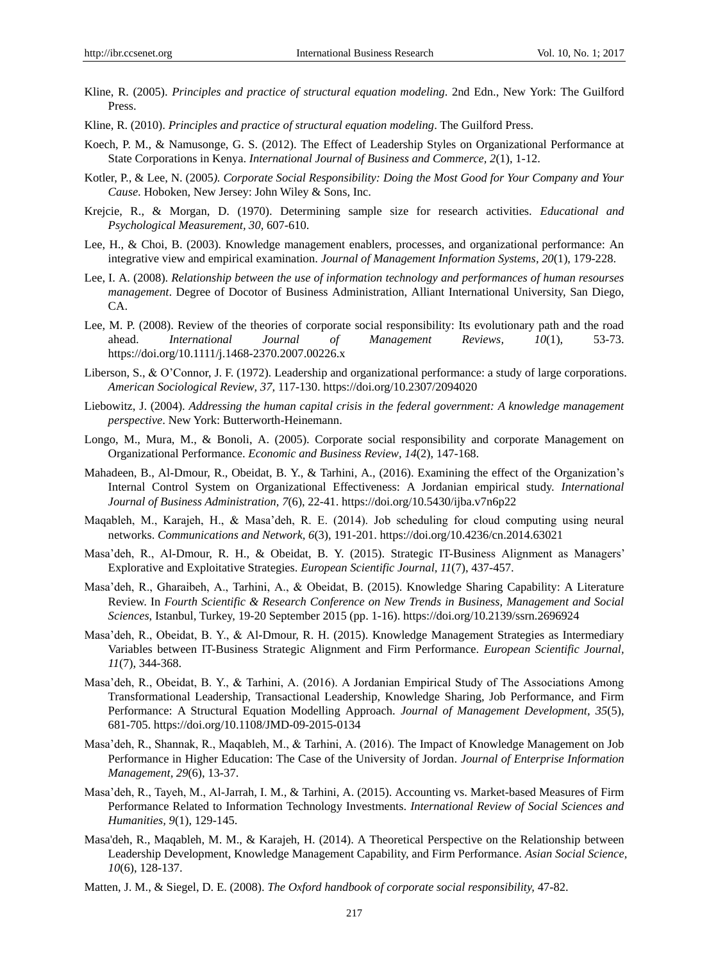- Kline, R. (2005). *Principles and practice of structural equation modeling*. 2nd Edn., New York: The Guilford Press.
- Kline, R. (2010). *Principles and practice of structural equation modeling*. The Guilford Press.
- Koech, P. M., & Namusonge, G. S. (2012). The Effect of Leadership Styles on Organizational Performance at State Corporations in Kenya. *International Journal of Business and Commerce, 2*(1), 1-12.
- Kotler, P., & Lee, N. (2005*). Corporate Social Responsibility: Doing the Most Good for Your Company and Your Cause*. Hoboken, New Jersey: John Wiley & Sons, Inc.
- Krejcie, R., & Morgan, D. (1970). Determining sample size for research activities. *Educational and Psychological Measurement, 30,* 607-610.
- Lee, H., & Choi, B. (2003). Knowledge management enablers, processes, and organizational performance: An integrative view and empirical examination. *Journal of Management Information Systems, 20*(1), 179-228.
- Lee, I. A. (2008). *Relationship between the use of information technology and performances of human resourses management*. Degree of Docotor of Business Administration, Alliant International University, San Diego, CA.
- Lee, M. P. (2008). Review of the theories of corporate social responsibility: Its evolutionary path and the road ahead. *International Journal of Management Reviews, 10*(1), 53-73. <https://doi.org/10.1111/j.1468-2370.2007.00226.x>
- Liberson, S., & O'Connor, J. F. (1972). Leadership and organizational performance: a study of large corporations. *American Sociological Review, 37,* 117-130. <https://doi.org/10.2307/2094020>
- Liebowitz, J. (2004). *Addressing the human capital crisis in the federal government: A knowledge management perspective*. New York: Butterworth-Heinemann.
- Longo, M., Mura, M., & Bonoli, A. (2005). Corporate social responsibility and corporate Management on Organizational Performance. *Economic and Business Review, 14*(2), 147-168.
- Mahadeen, B., Al-Dmour, R., Obeidat, B. Y., & Tarhini, A., (2016). Examining the effect of the Organization's Internal Control System on Organizational Effectiveness: A Jordanian empirical study. *International Journal of Business Administration, 7*(6), 22-41. <https://doi.org/10.5430/ijba.v7n6p22>
- Maqableh, M., Karajeh, H., & Masa"deh, R. E. (2014). Job scheduling for cloud computing using neural networks. *Communications and Network, 6*(3), 191-201.<https://doi.org/10.4236/cn.2014.63021>
- Masa"deh, R., Al-Dmour, R. H., & Obeidat, B. Y. (2015). Strategic IT-Business Alignment as Managers" Explorative and Exploitative Strategies. *European Scientific Journal, 11*(7), 437-457.
- Masa"deh, R., Gharaibeh, A., Tarhini, A., & Obeidat, B. (2015). Knowledge Sharing Capability: A Literature Review. In *Fourth Scientific & Research Conference on New Trends in Business, Management and Social Sciences*, Istanbul, Turkey, 19-20 September 2015 (pp. 1-16). <https://doi.org/10.2139/ssrn.2696924>
- Masa"deh, R., Obeidat, B. Y., & Al-Dmour, R. H. (2015). Knowledge Management Strategies as Intermediary Variables between IT-Business Strategic Alignment and Firm Performance. *European Scientific Journal, 11*(7), 344-368.
- Masa"deh, R., Obeidat, B. Y., & Tarhini, A. (2016). A Jordanian Empirical Study of The Associations Among Transformational Leadership, Transactional Leadership, Knowledge Sharing, Job Performance, and Firm Performance: A Structural Equation Modelling Approach. *Journal of Management Development, 35*(5), 681-705. <https://doi.org/10.1108/JMD-09-2015-0134>
- Masa"deh, R., Shannak, R., Maqableh, M., & Tarhini, A. (2016). The Impact of Knowledge Management on Job Performance in Higher Education: The Case of the University of Jordan. *Journal of Enterprise Information Management, 29*(6), 13-37.
- Masa"deh, R., Tayeh, M., Al-Jarrah, I. M., & Tarhini, A. (2015). Accounting vs. Market-based Measures of Firm Performance Related to Information Technology Investments. *International Review of Social Sciences and Humanities, 9*(1), 129-145.
- Masa'deh, R., Maqableh, M. M., & Karajeh, H. (2014). A Theoretical Perspective on the Relationship between Leadership Development, Knowledge Management Capability, and Firm Performance. *Asian Social Science, 10*(6), 128-137.
- Matten, J. M., & Siegel, D. E. (2008). *The Oxford handbook of corporate social responsibility,* 47-82.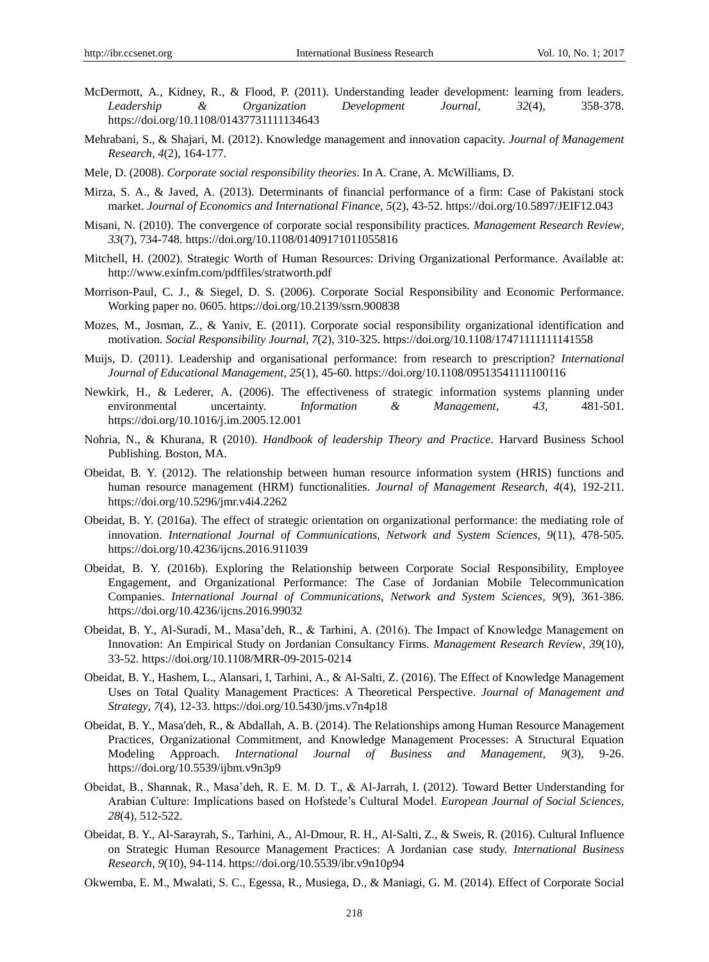- McDermott, A., Kidney, R., & Flood, P. (2011). Understanding leader development: learning from leaders. *Leadership & Organization Development Journal, 32*(4), 358-378. <https://doi.org/10.1108/01437731111134643>
- Mehrabani, S., & Shajari, M. (2012). Knowledge management and innovation capacity. *Journal of Management Research, 4*(2), 164-177.
- Mele, D. (2008). *Corporate social responsibility theories*. In A. Crane, A. McWilliams, D.
- Mirza, S. A., & Javed, A. (2013). Determinants of financial performance of a firm: Case of Pakistani stock market. *Journal of Economics and International Finance, 5*(2), 43-52. <https://doi.org/10.5897/JEIF12.043>
- Misani, N. (2010). The convergence of corporate social responsibility practices. *Management Research Review, 33*(7), 734-748. <https://doi.org/10.1108/01409171011055816>
- Mitchell, H. (2002). Strategic Worth of Human Resources: Driving Organizational Performance. Available at: http://www.exinfm.com/pdffiles/stratworth.pdf
- Morrison-Paul, C. J., & Siegel, D. S. (2006). Corporate Social Responsibility and Economic Performance. Working paper no. 0605.<https://doi.org/10.2139/ssrn.900838>
- Mozes, M., Josman, Z., & Yaniv, E. (2011). Corporate social responsibility organizational identification and motivation. *Social Responsibility Journal, 7*(2), 310-325. <https://doi.org/10.1108/17471111111141558>
- Muijs, D. (2011). Leadership and organisational performance: from research to prescription? *International Journal of Educational Management, 25*(1), 45-60. <https://doi.org/10.1108/09513541111100116>
- Newkirk, H., & Lederer, A. (2006). The effectiveness of strategic information systems planning under environmental uncertainty. *Information & Management, 43,* 481-501. <https://doi.org/10.1016/j.im.2005.12.001>
- Nohria, N., & Khurana, R (2010). *Handbook of leadership Theory and Practice*. Harvard Business School Publishing. Boston, MA.
- Obeidat, B. Y. (2012). The relationship between human resource information system (HRIS) functions and human resource management (HRM) functionalities. *Journal of Management Research, 4*(4), 192-211. <https://doi.org/10.5296/jmr.v4i4.2262>
- Obeidat, B. Y. (2016a). The effect of strategic orientation on organizational performance: the mediating role of innovation. *International Journal of Communications, Network and System Sciences, 9*(11), 478-505. <https://doi.org/10.4236/ijcns.2016.911039>
- Obeidat, B. Y. (2016b). Exploring the Relationship between Corporate Social Responsibility, Employee Engagement, and Organizational Performance: The Case of Jordanian Mobile Telecommunication Companies. *International Journal of Communications, Network and System Sciences, 9*(9), 361-386. <https://doi.org/10.4236/ijcns.2016.99032>
- Obeidat, B. Y., Al-Suradi, M., Masa"deh, R., & Tarhini, A. (2016). The Impact of Knowledge Management on Innovation: An Empirical Study on Jordanian Consultancy Firms. *Management Research Review, 39*(10), 33-52. <https://doi.org/10.1108/MRR-09-2015-0214>
- Obeidat, B. Y., Hashem, L., Alansari, I, Tarhini, A., & Al-Salti, Z. (2016). The Effect of Knowledge Management Uses on Total Quality Management Practices: A Theoretical Perspective. *Journal of Management and Strategy, 7*(4), 12-33. <https://doi.org/10.5430/jms.v7n4p18>
- Obeidat, B. Y., Masa'deh, R., & Abdallah, A. B. (2014). The Relationships among Human Resource Management Practices, Organizational Commitment, and Knowledge Management Processes: A Structural Equation Modeling Approach. *International Journal of Business and Management, 9*(3), 9-26. <https://doi.org/10.5539/ijbm.v9n3p9>
- Obeidat, B., Shannak, R., Masa"deh, R. E. M. D. T., & Al-Jarrah, I. (2012). Toward Better Understanding for Arabian Culture: Implications based on Hofstede"s Cultural Model. *European Journal of Social Sciences, 28*(4), 512-522.
- Obeidat, B. Y., Al-Sarayrah, S., Tarhini, A., Al-Dmour, R. H., Al-Salti, Z., & Sweis, R. (2016). Cultural Influence on Strategic Human Resource Management Practices: A Jordanian case study. *International Business Research, 9*(10), 94-114. <https://doi.org/10.5539/ibr.v9n10p94>
- Okwemba, E. M., Mwalati, S. C., Egessa, R., Musiega, D., & Maniagi, G. M. (2014). Effect of Corporate Social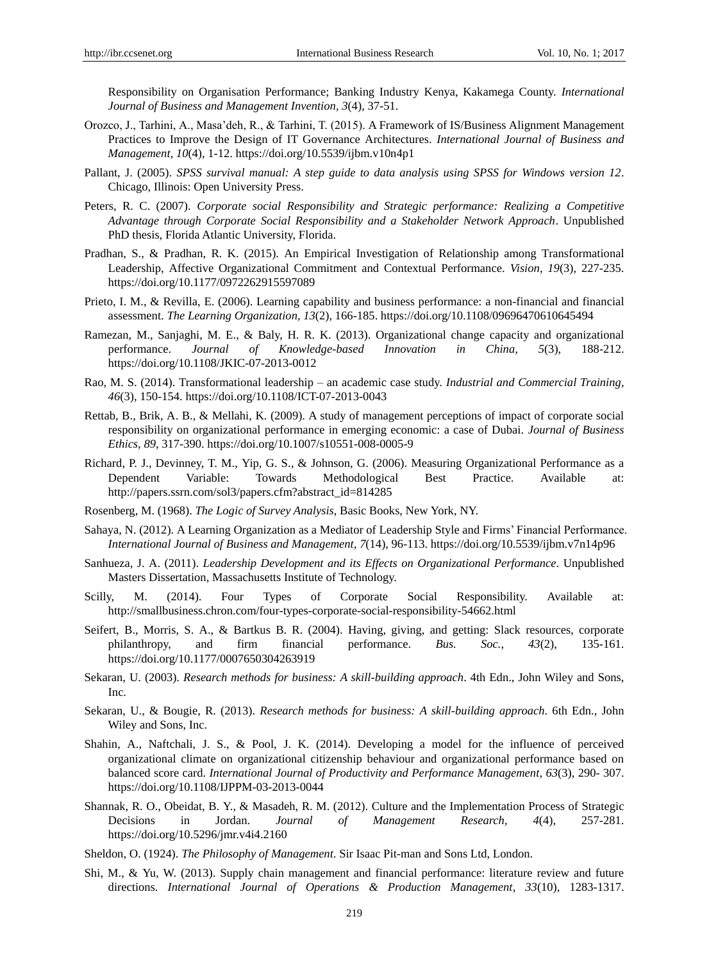Responsibility on Organisation Performance; Banking Industry Kenya, Kakamega County. *International Journal of Business and Management Invention, 3*(4), 37-51.

- Orozco, J., Tarhini, A., Masa"deh, R., & Tarhini, T. (2015). A Framework of IS/Business Alignment Management Practices to Improve the Design of IT Governance Architectures. *International Journal of Business and Management, 10*(4), 1-12. <https://doi.org/10.5539/ijbm.v10n4p1>
- Pallant, J. (2005). *SPSS survival manual: A step guide to data analysis using SPSS for Windows version 12*. Chicago, Illinois: Open University Press.
- Peters, R. C. (2007). *Corporate social Responsibility and Strategic performance: Realizing a Competitive Advantage through Corporate Social Responsibility and a Stakeholder Network Approach*. Unpublished PhD thesis, Florida Atlantic University, Florida.
- Pradhan, S., & Pradhan, R. K. (2015). An Empirical Investigation of Relationship among Transformational Leadership, Affective Organizational Commitment and Contextual Performance. *Vision, 19*(3), 227-235. <https://doi.org/10.1177/0972262915597089>
- Prieto, I. M., & Revilla, E. (2006). Learning capability and business performance: a non-financial and financial assessment. *The Learning Organization, 13*(2), 166-185. <https://doi.org/10.1108/09696470610645494>
- Ramezan, M., Sanjaghi, M. E., & Baly, H. R. K. (2013). Organizational change capacity and organizational performance. *Journal of Knowledge-based Innovation in China, 5*(3), 188-212. <https://doi.org/10.1108/JKIC-07-2013-0012>
- Rao, M. S. (2014). Transformational leadership an academic case study. *Industrial and Commercial Training, 46*(3), 150-154. <https://doi.org/10.1108/ICT-07-2013-0043>
- Rettab, B., Brik, A. B., & Mellahi, K. (2009). A study of management perceptions of impact of corporate social responsibility on organizational performance in emerging economic: a case of Dubai. *Journal of Business Ethics, 89,* 317-390. <https://doi.org/10.1007/s10551-008-0005-9>
- Richard, P. J., Devinney, T. M., Yip, G. S., & Johnson, G. (2006). Measuring Organizational Performance as a Dependent Variable: Towards Methodological Best Practice. Available at: http://papers.ssrn.com/sol3/papers.cfm?abstract\_id=814285
- Rosenberg, M. (1968). *The Logic of Survey Analysis*, Basic Books, New York, NY.
- Sahaya, N. (2012). A Learning Organization as a Mediator of Leadership Style and Firms" Financial Performance. *International Journal of Business and Management, 7*(14), 96-113. <https://doi.org/10.5539/ijbm.v7n14p96>
- Sanhueza, J. A. (2011). *Leadership Development and its Effects on Organizational Performance*. Unpublished Masters Dissertation, Massachusetts Institute of Technology.
- Scilly, M. (2014). Four Types of Corporate Social Responsibility. Available at: http://smallbusiness.chron.com/four-types-corporate-social-responsibility-54662.html
- Seifert, B., Morris, S. A., & Bartkus B. R. (2004). Having, giving, and getting: Slack resources, corporate philanthropy, and firm financial performance. *Bus. Soc.*, *43*(2), 135-161. <https://doi.org/10.1177/0007650304263919>
- Sekaran, U. (2003). *Research methods for business: A skill-building approach*. 4th Edn., John Wiley and Sons, Inc.
- Sekaran, U., & Bougie, R. (2013). *Research methods for business: A skill-building approach*. 6th Edn., John Wiley and Sons, Inc.
- Shahin, A., Naftchali, J. S., & Pool, J. K. (2014). Developing a model for the influence of perceived organizational climate on organizational citizenship behaviour and organizational performance based on balanced score card. *International Journal of Productivity and Performance Management, 63*(3), 290- 307. <https://doi.org/10.1108/IJPPM-03-2013-0044>
- Shannak, R. O., Obeidat, B. Y., & Masadeh, R. M. (2012). Culture and the Implementation Process of Strategic Decisions in Jordan. *Journal of Management Research, 4*(4), 257-281. <https://doi.org/10.5296/jmr.v4i4.2160>
- Sheldon, O. (1924). *The Philosophy of Management*. Sir Isaac Pit-man and Sons Ltd, London.
- Shi, M., & Yu, W. (2013). Supply chain management and financial performance: literature review and future directions*. International Journal of Operations & Production Management, 33*(10), 1283-1317.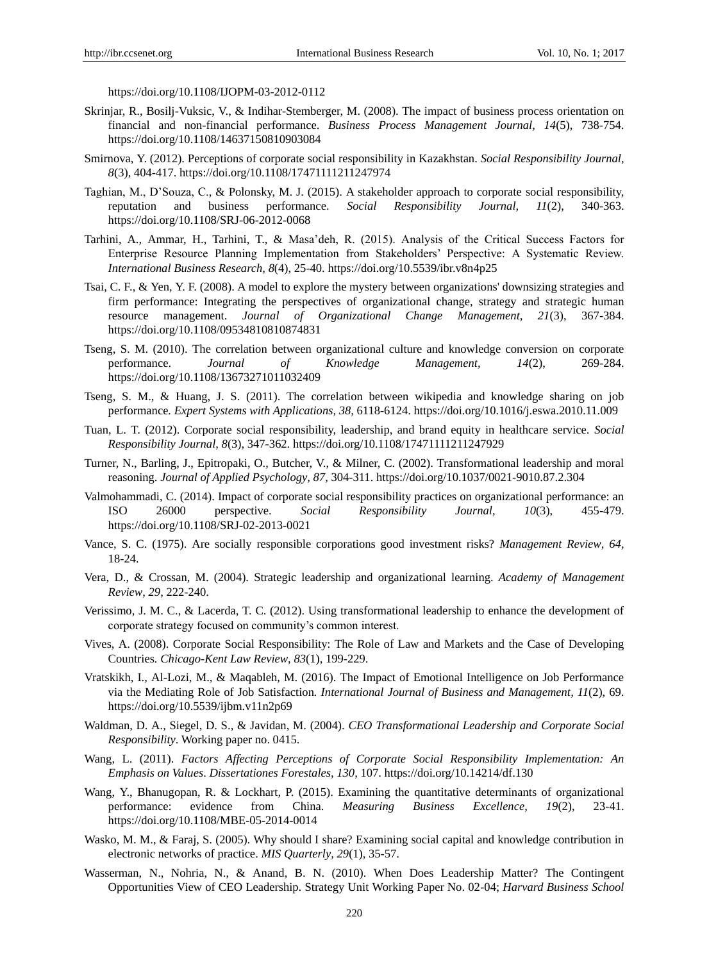<https://doi.org/10.1108/IJOPM-03-2012-0112>

- Skrinjar, R., Bosilj-Vuksic, V., & Indihar-Stemberger, M. (2008). The impact of business process orientation on financial and non-financial performance. *Business Process Management Journal, 14*(5), 738-754. <https://doi.org/10.1108/14637150810903084>
- Smirnova, Y. (2012). Perceptions of corporate social responsibility in Kazakhstan. *Social Responsibility Journal, 8*(3), 404-417. <https://doi.org/10.1108/17471111211247974>
- Taghian, M., D"Souza, C., & Polonsky, M. J. (2015). A stakeholder approach to corporate social responsibility, reputation and business performance. *Social Responsibility Journal, 11*(2), 340-363. <https://doi.org/10.1108/SRJ-06-2012-0068>
- Tarhini, A., Ammar, H., Tarhini, T., & Masa"deh, R. (2015). Analysis of the Critical Success Factors for Enterprise Resource Planning Implementation from Stakeholders" Perspective: A Systematic Review. *International Business Research, 8*(4), 25-40[. https://doi.org/10.5539/ibr.v8n4p25](https://doi.org/10.5539/ibr.v8n4p25)
- Tsai, C. F., & Yen, Y. F. (2008). A model to explore the mystery between organizations' downsizing strategies and firm performance: Integrating the perspectives of organizational change, strategy and strategic human resource management. *Journal of Organizational Change Management, 21*(3), 367-384. <https://doi.org/10.1108/09534810810874831>
- Tseng, S. M. (2010). The correlation between organizational culture and knowledge conversion on corporate performance. *Journal of Knowledge Management, 14*(2), 269-284. <https://doi.org/10.1108/13673271011032409>
- Tseng, S. M., & Huang, J. S. (2011). The correlation between wikipedia and knowledge sharing on job performance*. Expert Systems with Applications, 38,* 6118-6124. <https://doi.org/10.1016/j.eswa.2010.11.009>
- Tuan, L. T. (2012). Corporate social responsibility, leadership, and brand equity in healthcare service. *Social Responsibility Journal, 8*(3), 347-362. <https://doi.org/10.1108/17471111211247929>
- Turner, N., Barling, J., Epitropaki, O., Butcher, V., & Milner, C. (2002). Transformational leadership and moral reasoning. *Journal of Applied Psychology, 87,* 304-311. <https://doi.org/10.1037/0021-9010.87.2.304>
- Valmohammadi, C. (2014). Impact of corporate social responsibility practices on organizational performance: an ISO 26000 perspective. *Social Responsibility Journal, 10*(3), 455-479. <https://doi.org/10.1108/SRJ-02-2013-0021>
- Vance, S. C. (1975). Are socially responsible corporations good investment risks? *Management Review, 64,*  18-24.
- Vera, D., & Crossan, M. (2004). Strategic leadership and organizational learning. *Academy of Management Review, 29,* 222-240.
- Verissimo, J. M. C., & Lacerda, T. C. (2012). Using transformational leadership to enhance the development of corporate strategy focused on community"s common interest.
- Vives, A. (2008). Corporate Social Responsibility: The Role of Law and Markets and the Case of Developing Countries*. Chicago-Kent Law Review*, *83*(1), 199-229.
- Vratskikh, I., Al-Lozi, M., & Maqableh, M. (2016). The Impact of Emotional Intelligence on Job Performance via the Mediating Role of Job Satisfaction*. International Journal of Business and Management, 11*(2), 69. <https://doi.org/10.5539/ijbm.v11n2p69>
- Waldman, D. A., Siegel, D. S., & Javidan, M. (2004). *CEO Transformational Leadership and Corporate Social Responsibility*. Working paper no. 0415.
- Wang, L. (2011). *Factors Affecting Perceptions of Corporate Social Responsibility Implementation: An Emphasis on Values*. *Dissertationes Forestales, 130,* 107. <https://doi.org/10.14214/df.130>
- Wang, Y., Bhanugopan, R. & Lockhart, P. (2015). Examining the quantitative determinants of organizational performance: evidence from China. *Measuring Business Excellence, 19*(2), 23-41. <https://doi.org/10.1108/MBE-05-2014-0014>
- Wasko, M. M., & Faraj, S. (2005). Why should I share? Examining social capital and knowledge contribution in electronic networks of practice. *MIS Quarterly, 29*(1), 35-57.
- Wasserman, N., Nohria, N., & Anand, B. N. (2010). When Does Leadership Matter? The Contingent Opportunities View of CEO Leadership. Strategy Unit Working Paper No. 02-04; *Harvard Business School*